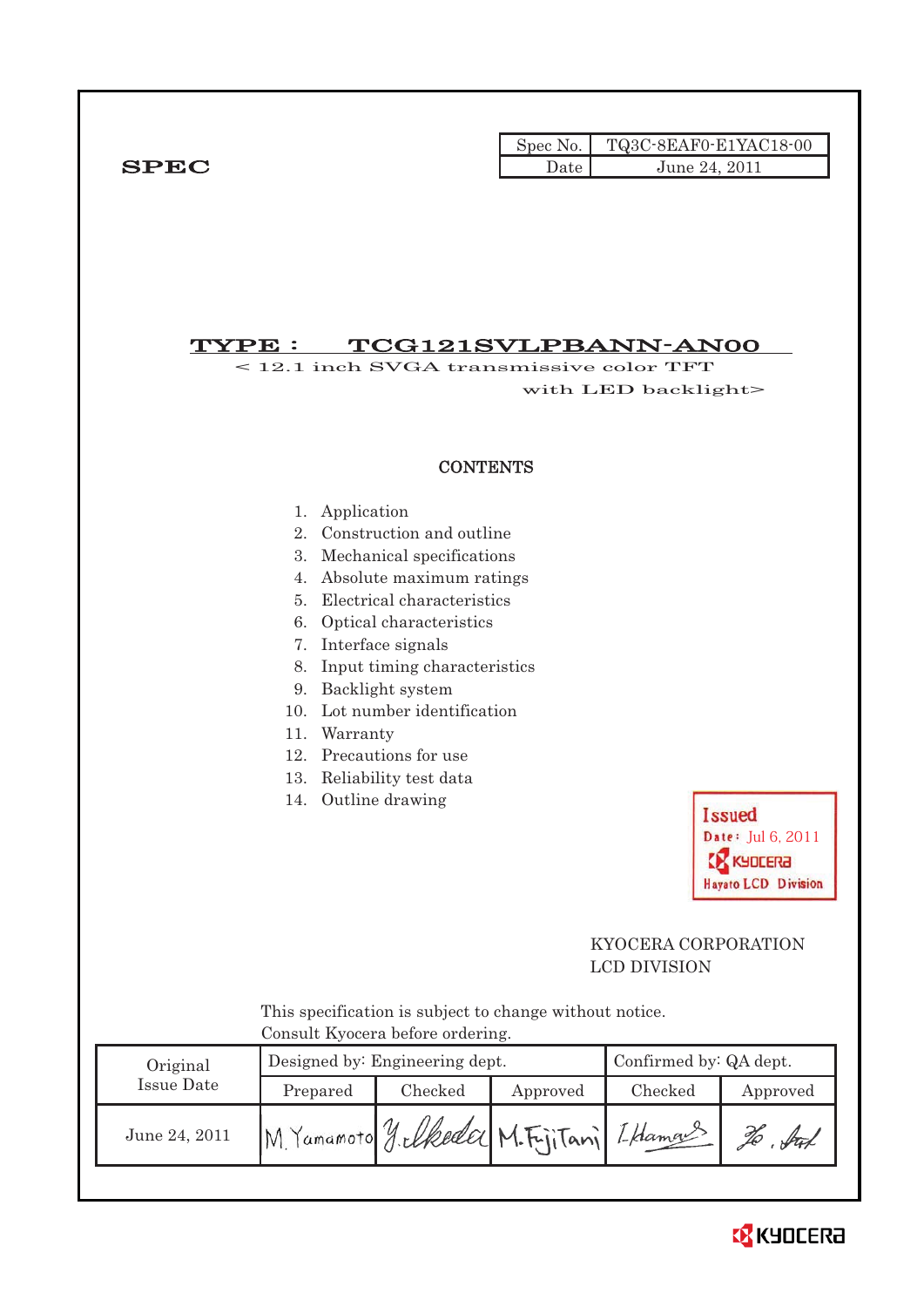|             |               | Spec No. TQ3C-8EAF0-E1YAC18-00 |
|-------------|---------------|--------------------------------|
| <b>SPEC</b> | Date <b>L</b> | June 24, 2011                  |

# $\overline{\text{TYPE}}: \quad \text{TCG121SVLPBANN-ANOO}$

< 12.1 inch SVGA transmissive color TFT with LED backlight>

#### **CONTENTS**

- 1. Application
- 2. Construction and outline
- 3. Mechanical specifications
- 4. Absolute maximum ratings
- 5. Electrical characteristics
- 6. Optical characteristics
- 7. Interface signals
- 8. Input timing characteristics
- 9. Backlight system
- 10. Lot number identification
- 11. Warranty
- 12. Precautions for use
- 13. Reliability test data
- 14. Outline drawing



i<br>L

### KYOCERA CORPORATION LCD DIVISION

 This specification is subject to change without notice. Consult Kyocera before ordering.

| Original      |                                              | Designed by: Engineering dept. | Confirmed by: QA dept. |         |          |
|---------------|----------------------------------------------|--------------------------------|------------------------|---------|----------|
| Issue Date    | Prepared                                     | Checked                        | Approved               | Checked | Approved |
| June 24, 2011 | M. Yamamoto J. elkeder M. FijiTani I. Hamans |                                |                        |         | ful      |

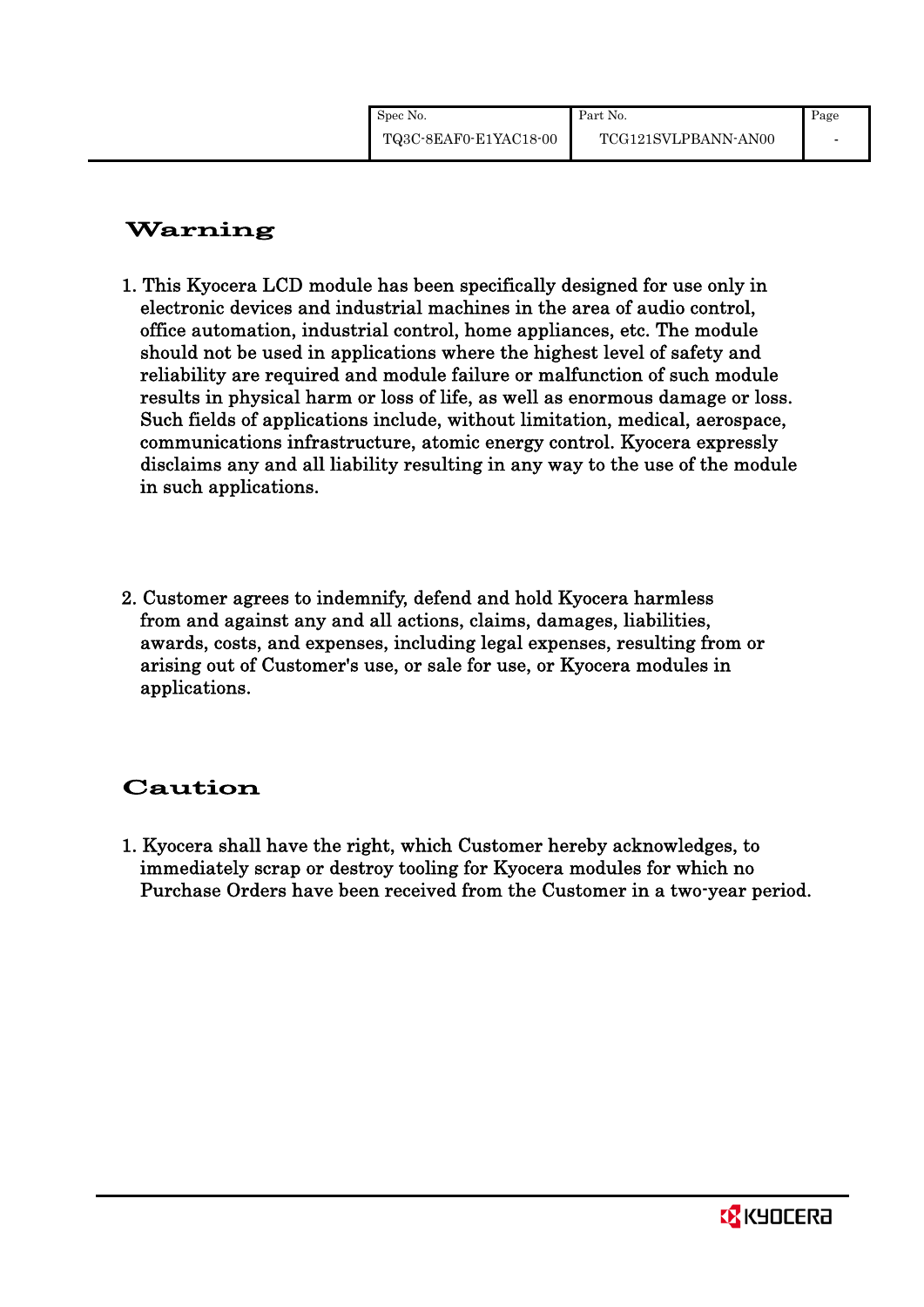# Warning

- 1. This Kyocera LCD module has been specifically designed for use only in electronic devices and industrial machines in the area of audio control, office automation, industrial control, home appliances, etc. The module should not be used in applications where the highest level of safety and reliability are required and module failure or malfunction of such module results in physical harm or loss of life, as well as enormous damage or loss. Such fields of applications include, without limitation, medical, aerospace, communications infrastructure, atomic energy control. Kyocera expressly disclaims any and all liability resulting in any way to the use of the module in such applications.
- 2. Customer agrees to indemnify, defend and hold Kyocera harmless from and against any and all actions, claims, damages, liabilities, awards, costs, and expenses, including legal expenses, resulting from or arising out of Customer's use, or sale for use, or Kyocera modules in applications.

# Caution

1. Kyocera shall have the right, which Customer hereby acknowledges, to immediately scrap or destroy tooling for Kyocera modules for which no Purchase Orders have been received from the Customer in a two-year period.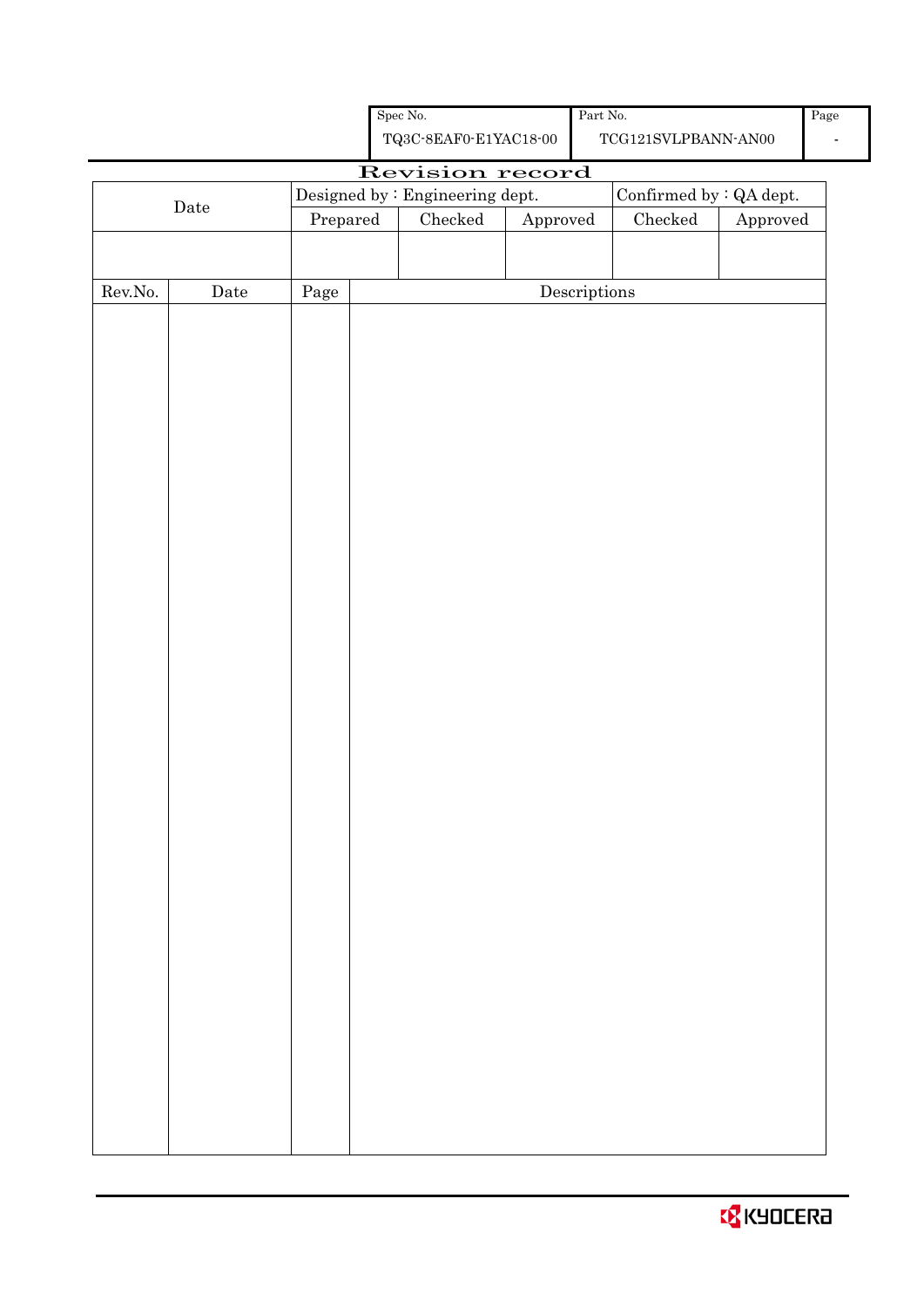| <b>B</b> KYOCERA |  |  |  |  |
|------------------|--|--|--|--|
|------------------|--|--|--|--|

|                  |             |          | ${\rm Spec}$ No.                                   |                        | Part $\mbox{No.}$                    |                                             |          | Pag |
|------------------|-------------|----------|----------------------------------------------------|------------------------|--------------------------------------|---------------------------------------------|----------|-----|
|                  |             |          | ${\bf TQ3C\text{-}SEAF0\text{-}E1YAC18\text{-}00}$ |                        |                                      | $\operatorname{TCG121SVLPBANN\text{-}ANO0}$ |          |     |
|                  |             |          | Revision record                                    |                        |                                      |                                             |          |     |
|                  | $\rm{Date}$ |          | Designed by : Engineering dept.                    |                        |                                      | Confirmed by : QA dept.                     |          |     |
|                  |             | Prepared | $\rm Checked$                                      | ${\Large\bf Approved}$ |                                      | ${\it Checked}$                             | Approved |     |
|                  |             |          |                                                    |                        |                                      |                                             |          |     |
| ${\rm Rev. No.}$ | Date        | Page     |                                                    |                        | $\label{eq:2} \textbf{Descriptions}$ |                                             |          |     |
|                  |             |          |                                                    |                        |                                      |                                             |          |     |
|                  |             |          |                                                    |                        |                                      |                                             |          |     |
|                  |             |          |                                                    |                        |                                      |                                             |          |     |
|                  |             |          |                                                    |                        |                                      |                                             |          |     |
|                  |             |          |                                                    |                        |                                      |                                             |          |     |
|                  |             |          |                                                    |                        |                                      |                                             |          |     |
|                  |             |          |                                                    |                        |                                      |                                             |          |     |
|                  |             |          |                                                    |                        |                                      |                                             |          |     |
|                  |             |          |                                                    |                        |                                      |                                             |          |     |
|                  |             |          |                                                    |                        |                                      |                                             |          |     |
|                  |             |          |                                                    |                        |                                      |                                             |          |     |
|                  |             |          |                                                    |                        |                                      |                                             |          |     |
|                  |             |          |                                                    |                        |                                      |                                             |          |     |
|                  |             |          |                                                    |                        |                                      |                                             |          |     |
|                  |             |          |                                                    |                        |                                      |                                             |          |     |
|                  |             |          |                                                    |                        |                                      |                                             |          |     |
|                  |             |          |                                                    |                        |                                      |                                             |          |     |
|                  |             |          |                                                    |                        |                                      |                                             |          |     |
|                  |             |          |                                                    |                        |                                      |                                             |          |     |
|                  |             |          |                                                    |                        |                                      |                                             |          |     |
|                  |             |          |                                                    |                        |                                      |                                             |          |     |
|                  |             |          |                                                    |                        |                                      |                                             |          |     |
|                  |             |          |                                                    |                        |                                      |                                             |          |     |
|                  |             |          |                                                    |                        |                                      |                                             |          |     |
|                  |             |          |                                                    |                        |                                      |                                             |          |     |
|                  |             |          |                                                    |                        |                                      |                                             |          |     |
|                  |             |          |                                                    |                        |                                      |                                             |          |     |
|                  |             |          |                                                    |                        |                                      |                                             |          |     |
|                  |             |          |                                                    |                        |                                      |                                             |          |     |
|                  |             |          |                                                    |                        |                                      |                                             |          |     |
|                  |             |          |                                                    |                        |                                      |                                             |          |     |
|                  |             |          |                                                    |                        |                                      |                                             |          |     |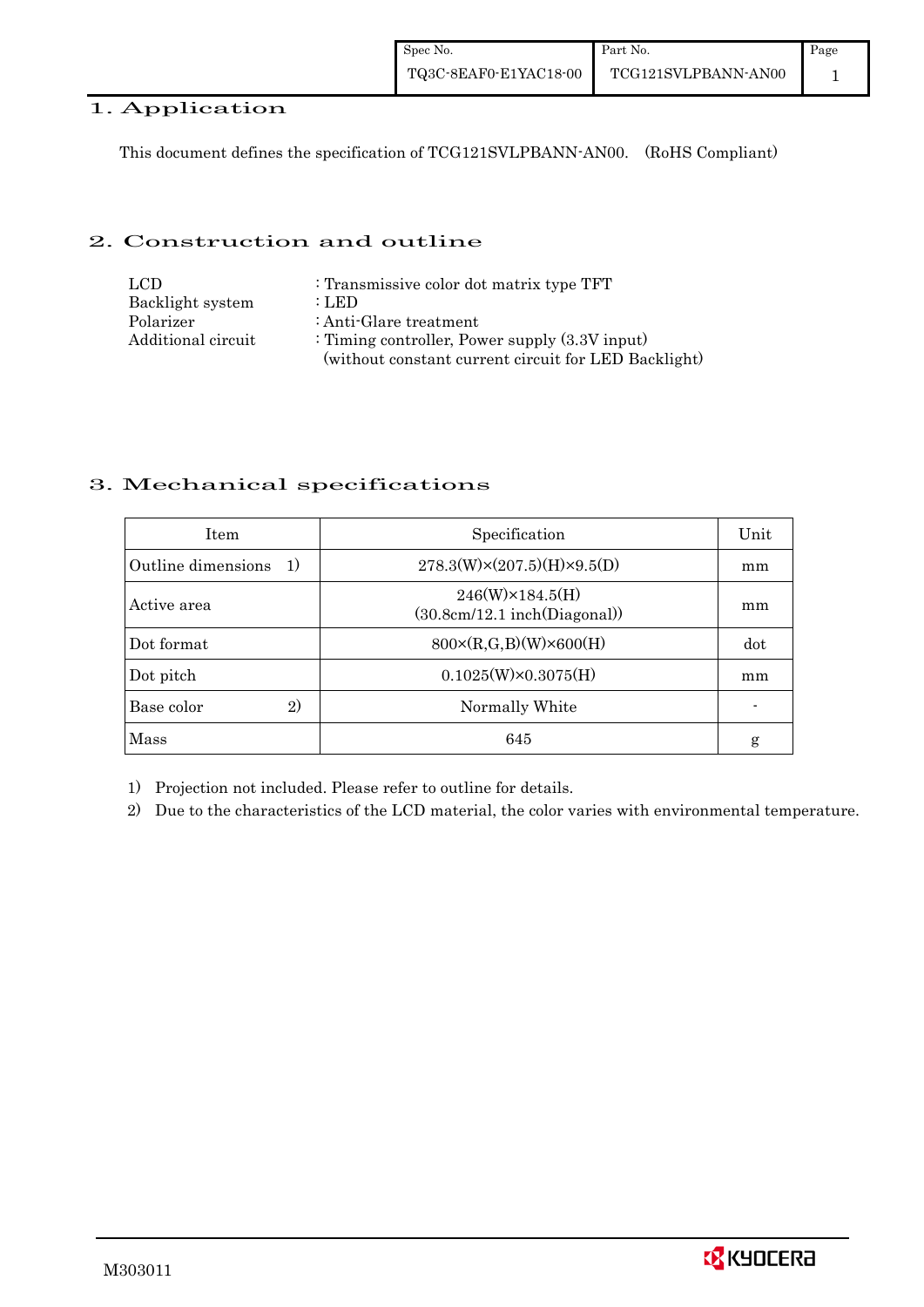#### 1. Application

This document defines the specification of TCG121SVLPBANN-AN00. (RoHS Compliant)

#### 2. Construction and outline

| LCD.               | : Transmissive color dot matrix type TFT             |
|--------------------|------------------------------------------------------|
| Backlight system   | : LED                                                |
| Polarizer          | : Anti-Glare treatment                               |
| Additional circuit | : Timing controller, Power supply $(3.3V)$ input)    |
|                    | (without constant current circuit for LED Backlight) |

### 3. Mechanical specifications

| <b>Item</b>                        | Specification                                           | Unit |
|------------------------------------|---------------------------------------------------------|------|
| Outline dimensions<br><sup>1</sup> | $278.3(W)\times(207.5)(H)\times9.5(D)$                  | mm   |
| Active area                        | $246(W)\times 184.5(H)$<br>(30.8cm/12.1~inch(Diagonal)) | mm   |
| Dot format                         | $800 \times (R, G, B)(W) \times 600(H)$                 | dot  |
| Dot pitch                          | $0.1025(W)\times0.3075(H)$                              | mm   |
| Base color<br>2)                   | Normally White                                          |      |
| Mass                               | 645                                                     | g    |

1) Projection not included. Please refer to outline for details.

2) Due to the characteristics of the LCD material, the color varies with environmental temperature.

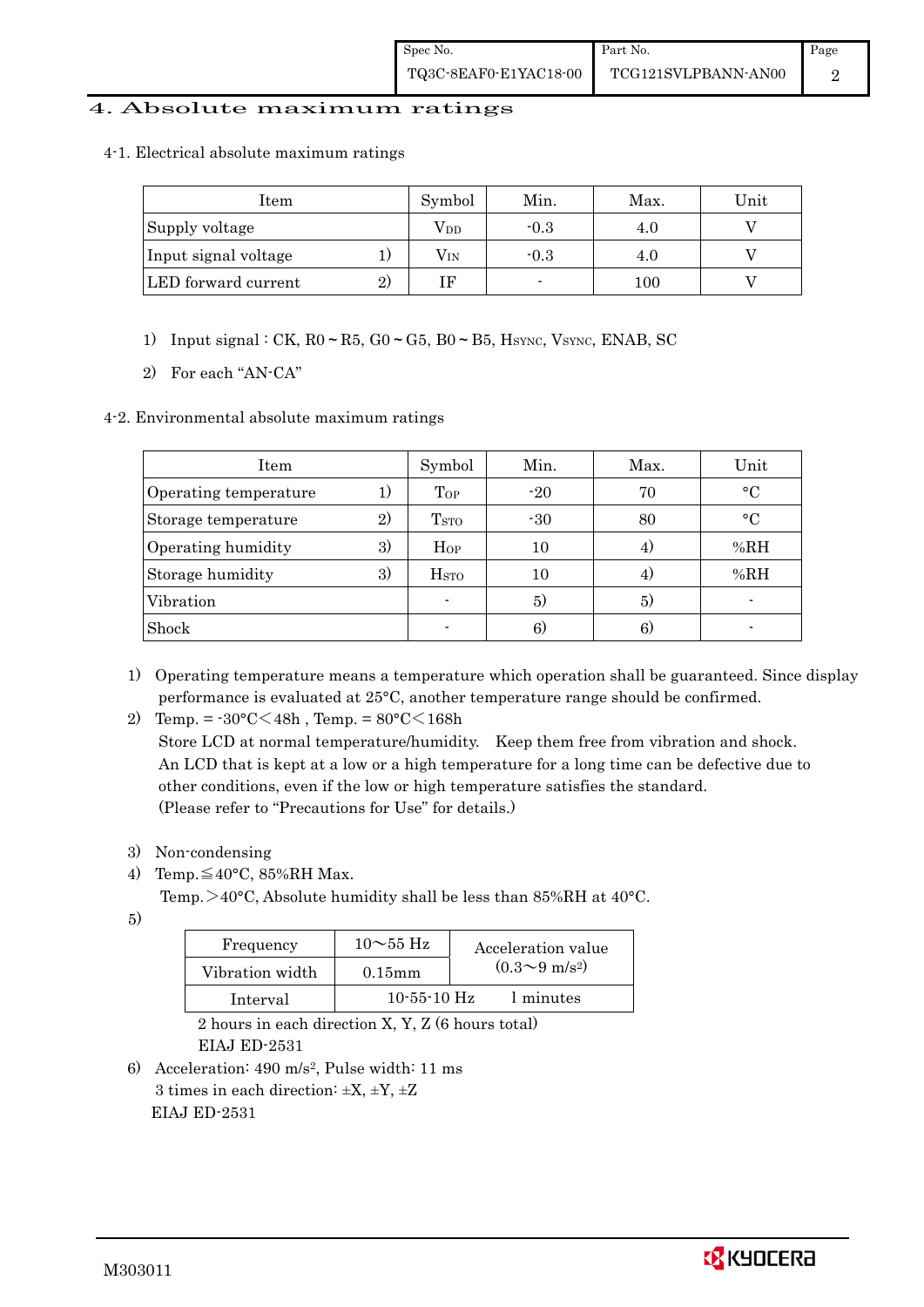#### 4. Absolute maximum ratings

4-1. Electrical absolute maximum ratings

| Item                 | Symbol       | Min.                     | Max. | Unit |
|----------------------|--------------|--------------------------|------|------|
| Supply voltage       | Vdd          | $-0.3$                   | 4.0  |      |
| Input signal voltage | $\rm V_{IN}$ | $-0.3$                   | 4.0  |      |
| LED forward current  | ΤF           | $\overline{\phantom{0}}$ | 100  |      |

1) Input signal : CK,  $R0 \sim R5$ ,  $G0 \sim G5$ ,  $B0 \sim B5$ , Hsync, Vsync, ENAB, SC

2) For each "AN-CA"

#### 4-2. Environmental absolute maximum ratings

| Item                  |    | Symbol                  | Min.  | Max. | Unit      |
|-----------------------|----|-------------------------|-------|------|-----------|
| Operating temperature | 1) | Top                     | $-20$ | 70   | $\circ$ C |
| Storage temperature   | 2) | <b>T</b> <sub>STO</sub> | $-30$ | 80   | $\circ$ C |
| Operating humidity    | 3) | Hop                     | 10    |      | %RH       |
| Storage humidity      | 3) | <b>H</b> <sub>STO</sub> | 10    |      | %RH       |
| Vibration             |    |                         | 5)    | 5)   |           |
| Shock                 |    |                         | 6)    | 6)   |           |

1) Operating temperature means a temperature which operation shall be guaranteed. Since display performance is evaluated at 25°C, another temperature range should be confirmed.

2) Temp. =  $-30^{\circ}$ C $<$ 48h, Temp. =  $80^{\circ}$ C $<$ 168h

 Store LCD at normal temperature/humidity. Keep them free from vibration and shock. An LCD that is kept at a low or a high temperature for a long time can be defective due to other conditions, even if the low or high temperature satisfies the standard. (Please refer to "Precautions for Use" for details.)

- 3) Non-condensing
- 4) Temp. $\leq 40^{\circ}$ C, 85%RH Max.
	- Temp. $>40^{\circ}$ C, Absolute humidity shall be less than 85%RH at 40 $^{\circ}$ C.
- 5)

| Frequency       | $10\sim$ 55 Hz    | Acceleration value           |
|-----------------|-------------------|------------------------------|
| Vibration width | $0.15$ mm         | $(0.3 \sim 9 \text{ m/s}^2)$ |
| Interval        | $10 - 55 - 10$ Hz | 1 minutes                    |

 2 hours in each direction X, Y, Z (6 hours total) EIAJ ED-2531

6) Acceleration: 490 m/s2, Pulse width: 11 ms 3 times in each direction:  $\pm X$ ,  $\pm Y$ ,  $\pm Z$ EIAJ ED-2531

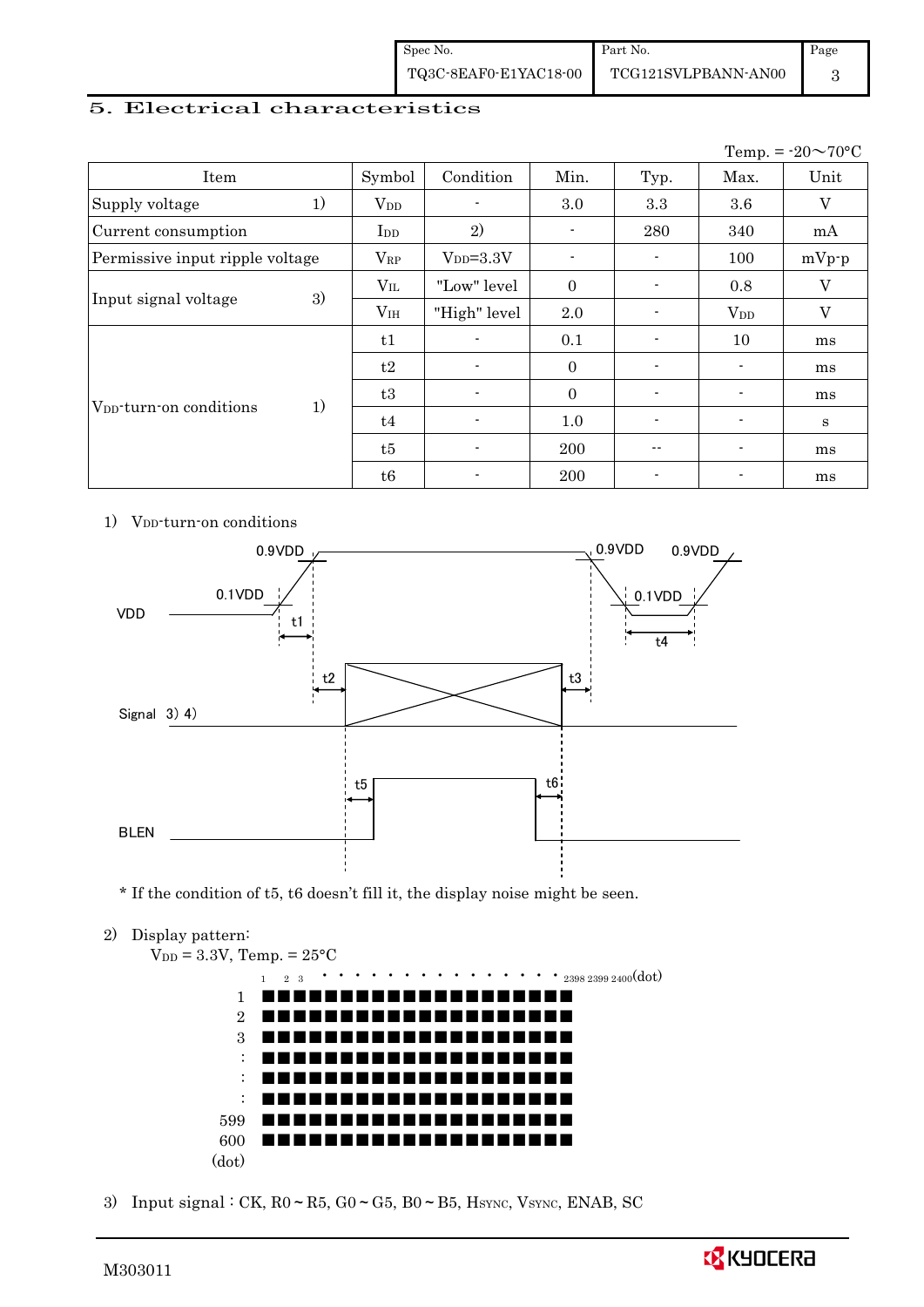| Spec No.              | Part No.            | Page |
|-----------------------|---------------------|------|
| TQ3C-8EAF0-E1YAC18-00 | TCG121SVLPBANN-AN00 |      |

#### 5. Electrical characteristics

|                                     |    |                 |                 |                |                          |                          | Temp. = $-20 \sim 70$ °C |
|-------------------------------------|----|-----------------|-----------------|----------------|--------------------------|--------------------------|--------------------------|
| Item                                |    | Symbol          | Condition       | Min.           | Typ.                     | Max.                     | Unit                     |
| Supply voltage                      | 1) | $V_{DD}$        |                 | 3.0            | 3.3                      | 3.6                      | V                        |
| Current consumption                 |    | I <sub>DD</sub> | 2)              | $\blacksquare$ | 280                      | 340                      | mA                       |
| Permissive input ripple voltage     |    | $V_{RP}$        | $V_{DD} = 3.3V$ | ۰.             | $\overline{\phantom{a}}$ | 100                      | $mVp-p$                  |
| Input signal voltage                |    | $V_{IL}$        | "Low" level     | $\mathbf{0}$   | $\blacksquare$           | 0.8                      | V                        |
|                                     | 3) | V <sub>IH</sub> | "High" level    | 2.0            | $\overline{\phantom{a}}$ | $V_{DD}$                 | V                        |
| V <sub>DD</sub> -turn-on conditions |    | t1              |                 | 0.1            | $\overline{\phantom{a}}$ | 10                       | ms                       |
|                                     |    | t2              |                 | $\mathbf{0}$   | $\blacksquare$           | $\overline{\phantom{a}}$ | ms                       |
|                                     | 1) | t3              |                 | $\Omega$       | $\blacksquare$           | $\overline{\phantom{a}}$ | ms                       |
|                                     |    | t4              |                 | 1.0            | $\blacksquare$           |                          | S                        |
|                                     |    | t5              |                 | 200            | --                       |                          | ms                       |
|                                     |    | t6              |                 | 200            |                          |                          | ms                       |

1) V<sub>DD</sub>-turn-on conditions



\* If the condition of t5, t6 doesn't fill it, the display noise might be seen.

2) Display pattern:

 $V_{DD} = 3.3V$ , Temp. =  $25^{\circ}$ C 1 2 <sup>3</sup>・・・・・・・・・・・・・・・2398 2399 2400(dot) 1 2 3 : : : 599 600 (dot) ■■■■■■■■■■■■■■■■■■■■ ■■■■■■■■■■■■■■■■■■■■ ■■■■■■■■■■■■■■■■■■■■ ■■■■■■■■■■■■■■■■■■■■ ■■■■■■■■■■■■■■■■■■■■ ■■■■■■■■■■■■■■■■■■■■ ■■■■■■■■■■■■■■■■■■■■ ■■■■■■■■■■■■■■■■■■■■

3) Input signal : CK,  $R0 \sim R5$ ,  $G0 \sim G5$ ,  $B0 \sim B5$ , Hsync, Vsync, ENAB, SC

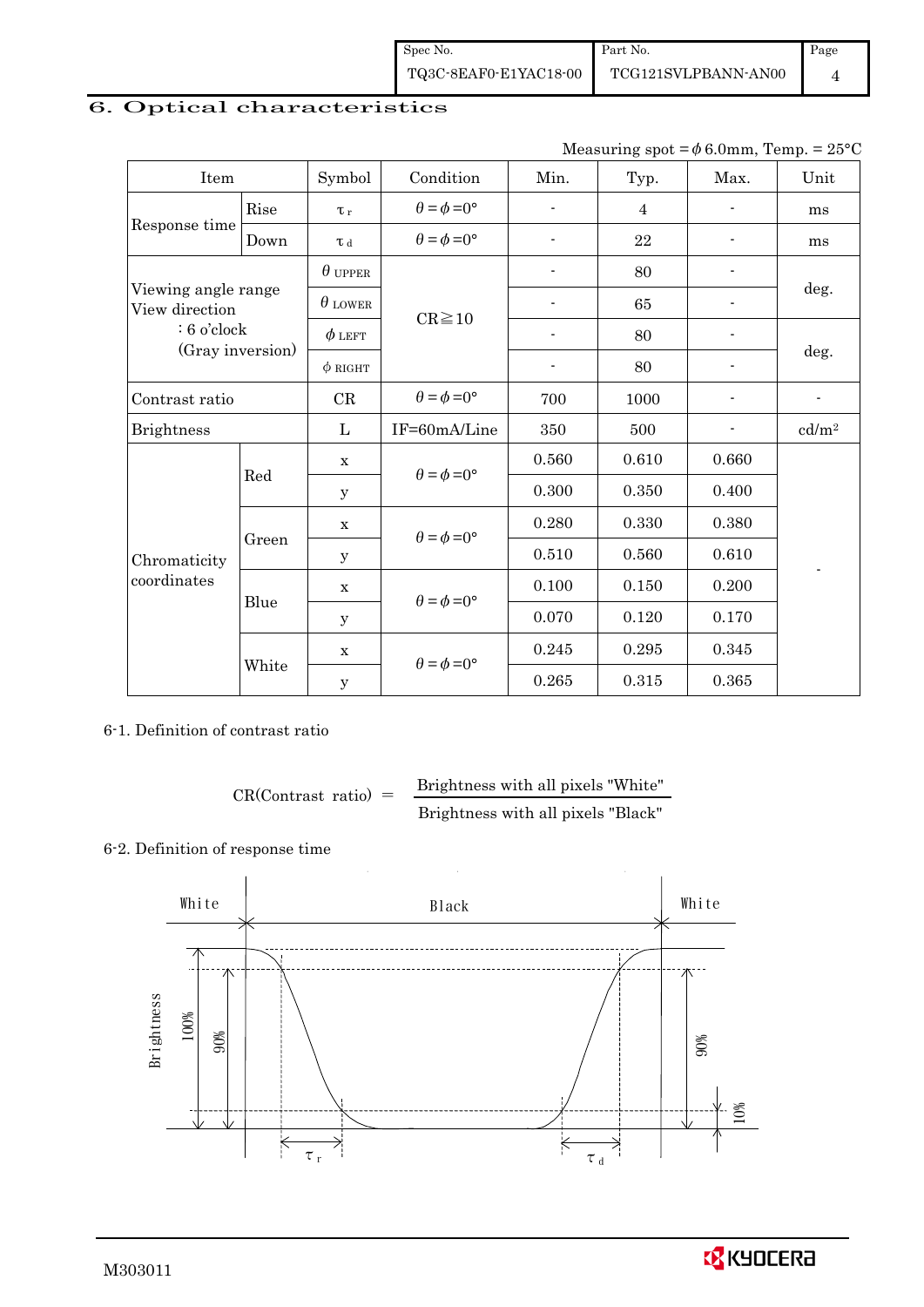Spec No. TQ3C-8EAF0-E1YAC18-00 Part No. TCG121SVLPBANN-AN00 Page 4

# 6. Optical characteristics

|  | Measuring spot = $\phi$ 6.0mm, Temp. = 25°C |  |  |
|--|---------------------------------------------|--|--|
|--|---------------------------------------------|--|--|

| Item                                  |       | Symbol              | Condition                   | Min.                     | Typ.           | Max.                     | Unit              |
|---------------------------------------|-------|---------------------|-----------------------------|--------------------------|----------------|--------------------------|-------------------|
|                                       | Rise  | $\tau_r$            | $\theta = \phi = 0^{\circ}$ | $\overline{a}$           | $\overline{4}$ |                          | ms                |
| Response time                         | Down  | $\tau$ <sub>d</sub> | $\theta = \phi = 0^{\circ}$ | ٠                        | 22             |                          | ms                |
|                                       |       | $\theta$ upper      |                             |                          | 80             | $\overline{\phantom{a}}$ |                   |
| Viewing angle range<br>View direction |       | $\theta$ lower      | $CR \ge 10$                 |                          | 65             |                          | deg.              |
| $: 6$ o'clock                         |       | $\phi$ left         |                             | $\overline{\phantom{a}}$ | 80             | $\overline{\phantom{a}}$ |                   |
| (Gray inversion)                      |       | $\phi$ RIGHT        |                             | $\overline{\phantom{a}}$ | 80             | $\overline{a}$           | deg.              |
| Contrast ratio                        |       | CR                  | $\theta = \phi = 0^{\circ}$ | 700                      | 1000           |                          |                   |
| <b>Brightness</b>                     |       | L                   | IF=60mA/Line                | 350                      | 500            | $\overline{\phantom{a}}$ | cd/m <sup>2</sup> |
|                                       | Red   | $\mathbf x$         | $\theta = \phi = 0^{\circ}$ | 0.560                    | 0.610          | 0.660                    |                   |
|                                       |       | У                   |                             | 0.300                    | 0.350          | 0.400                    |                   |
|                                       |       | $\mathbf X$         | $\theta = \phi = 0^{\circ}$ | 0.280                    | 0.330          | 0.380                    |                   |
| Chromaticity                          | Green | У                   |                             | 0.510                    | 0.560          | 0.610                    |                   |
| coordinates                           |       | $\mathbf X$         | $\theta = \phi = 0^{\circ}$ | 0.100                    | 0.150          | 0.200                    |                   |
|                                       | Blue  | У                   |                             | 0.070                    | 0.120          | 0.170                    |                   |
|                                       |       | $\mathbf X$         | $\theta = \phi = 0^{\circ}$ | 0.245                    | 0.295          | 0.345                    |                   |
|                                       | White | $\mathbf y$         |                             | 0.265                    | 0.315          | 0.365                    |                   |

#### 6-1. Definition of contrast ratio

$$
CR(Contrast ratio) = \frac{Brightness with all pixels "White" }{Brightness with all pixels "Black" }
$$

# 6-2. Definition of response time



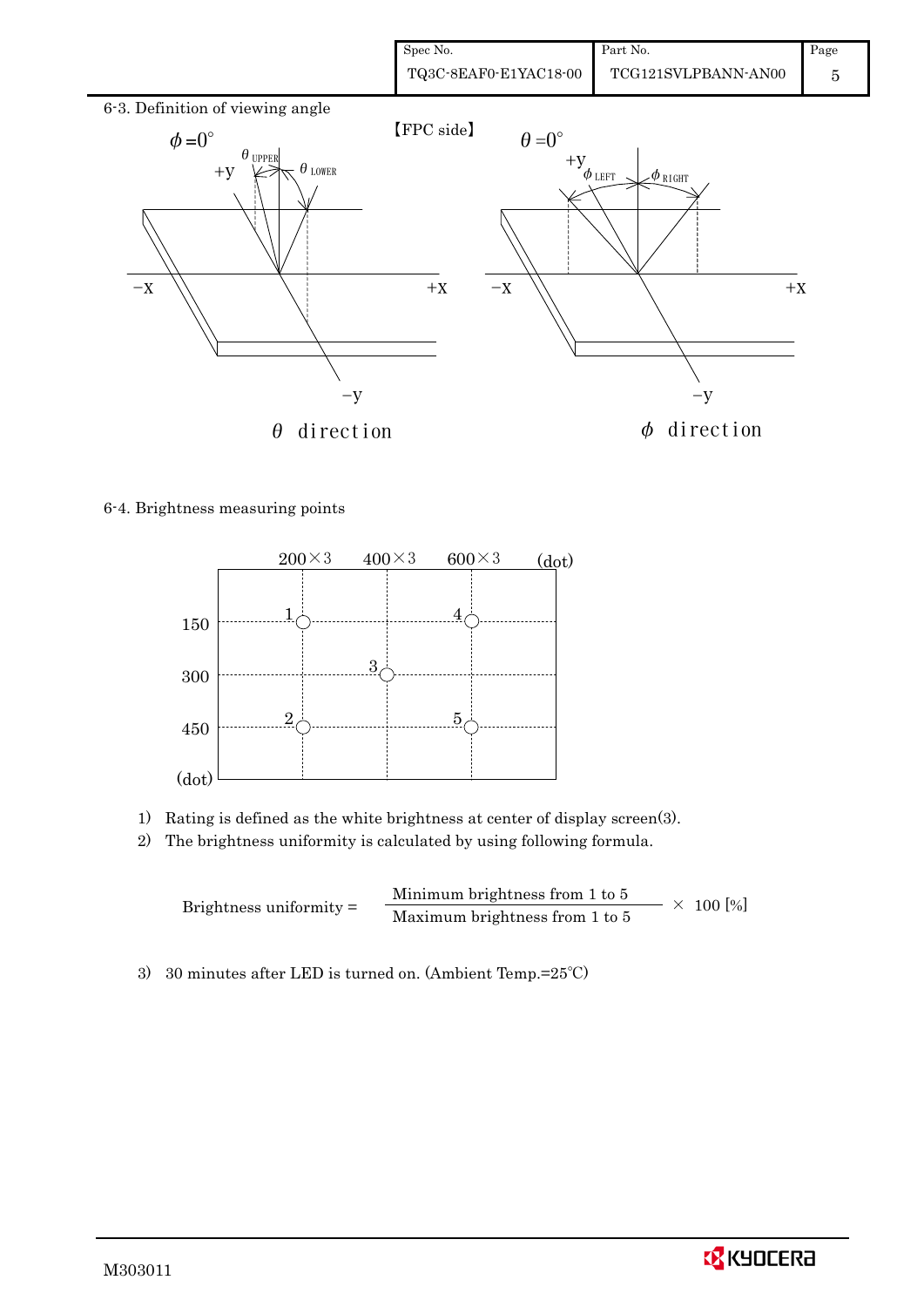

#### 6-4. Brightness measuring points



- 1) Rating is defined as the white brightness at center of display screen(3).
- 2) The brightness uniformity is calculated by using following formula.

Brightness uniformity = Minimum brightness from 1 to 5  $\times$  100 [%]<br>Maximum brightness from 1 to 5

3) 30 minutes after LED is turned on. (Ambient Temp.=25℃)

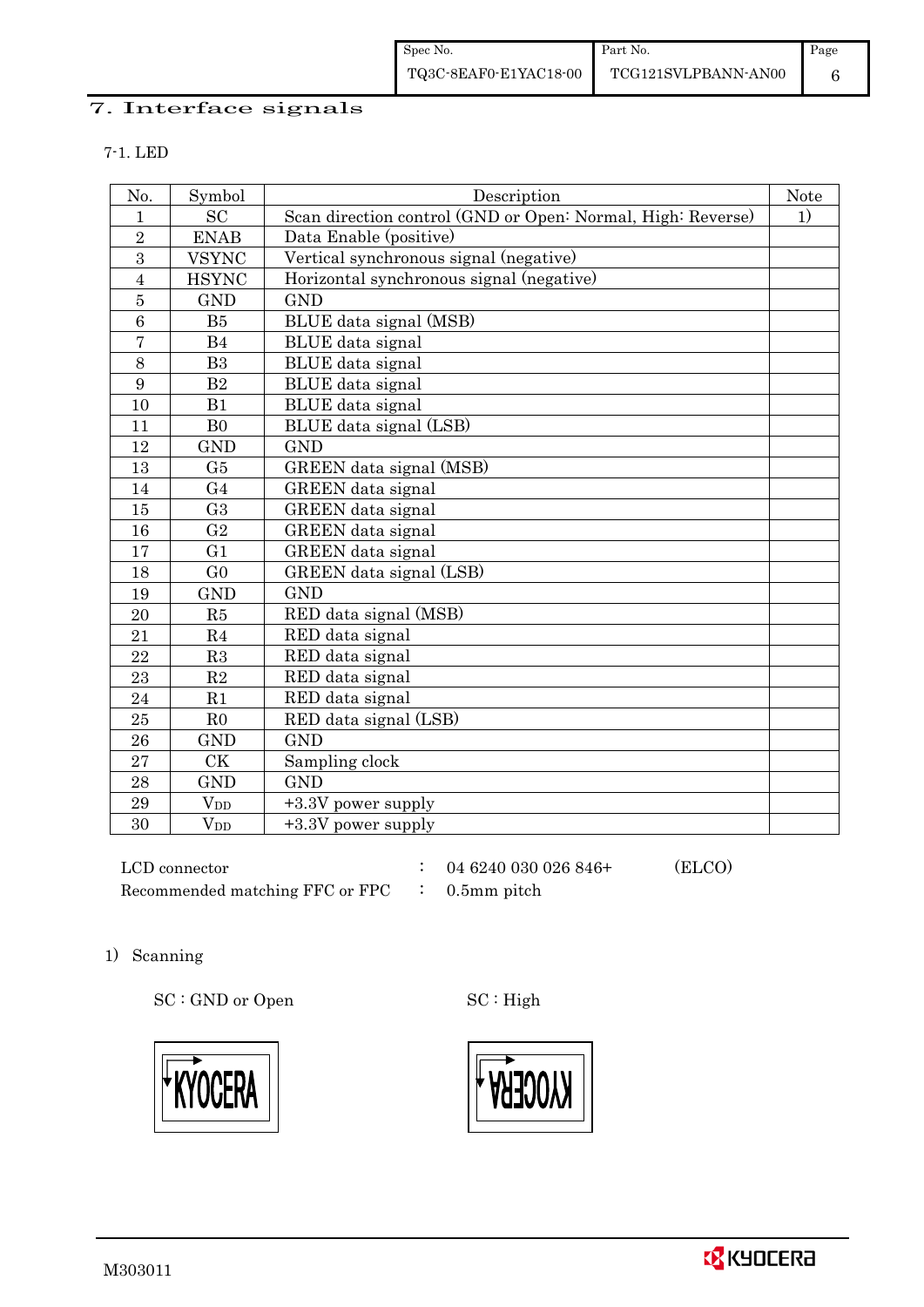#### 7. Interface signals

| No.            | Symbol         | Description                                                 | Note |  |  |
|----------------|----------------|-------------------------------------------------------------|------|--|--|
| 1              | <b>SC</b>      | Scan direction control (GND or Open: Normal, High: Reverse) | 1)   |  |  |
| $\overline{2}$ | <b>ENAB</b>    | Data Enable (positive)                                      |      |  |  |
| 3              | <b>VSYNC</b>   | Vertical synchronous signal (negative)                      |      |  |  |
| $\overline{4}$ | <b>HSYNC</b>   | Horizontal synchronous signal (negative)                    |      |  |  |
| $\overline{5}$ | <b>GND</b>     | <b>GND</b>                                                  |      |  |  |
| 6              | B <sub>5</sub> | BLUE data signal (MSB)                                      |      |  |  |
| $\overline{7}$ | B <sub>4</sub> | <b>BLUE</b> data signal                                     |      |  |  |
| 8              | B <sub>3</sub> | BLUE data signal                                            |      |  |  |
| 9              | B <sub>2</sub> | <b>BLUE</b> data signal                                     |      |  |  |
| 10             | B1             | <b>BLUE</b> data signal                                     |      |  |  |
| 11             | B <sub>0</sub> | BLUE data signal (LSB)                                      |      |  |  |
| 12             | <b>GND</b>     | <b>GND</b>                                                  |      |  |  |
| 13             | G5             | GREEN data signal (MSB)                                     |      |  |  |
| 14             | G <sub>4</sub> | <b>GREEN</b> data signal                                    |      |  |  |
| 15             | G <sub>3</sub> | GREEN data signal                                           |      |  |  |
| 16             | G <sub>2</sub> | GREEN data signal                                           |      |  |  |
| 17             | G <sub>1</sub> | <b>GREEN</b> data signal                                    |      |  |  |
| 18             | G <sub>0</sub> | GREEN data signal (LSB)                                     |      |  |  |
| 19             | <b>GND</b>     | <b>GND</b>                                                  |      |  |  |
| 20             | R5             | RED data signal (MSB)                                       |      |  |  |
| 21             | R <sub>4</sub> | RED data signal                                             |      |  |  |
| 22             | R3             | RED data signal                                             |      |  |  |
| 23             | R2             | RED data signal                                             |      |  |  |
| 24             | R1             | RED data signal                                             |      |  |  |
| 25             | R <sub>0</sub> | RED data signal (LSB)                                       |      |  |  |
| 26             | <b>GND</b>     | <b>GND</b>                                                  |      |  |  |
| 27             | <b>CK</b>      | Sampling clock                                              |      |  |  |
| 28             | <b>GND</b>     | <b>GND</b>                                                  |      |  |  |
| 29             | $V_{DD}$       | +3.3V power supply                                          |      |  |  |
| 30             | $V_{DD}$       | +3.3V power supply                                          |      |  |  |

 LCD connector : 04 6240 030 026 846+ (ELCO) Recommended matching FFC or FPC : 0.5mm pitch

### 1) Scanning

SC : GND or Open SC : High



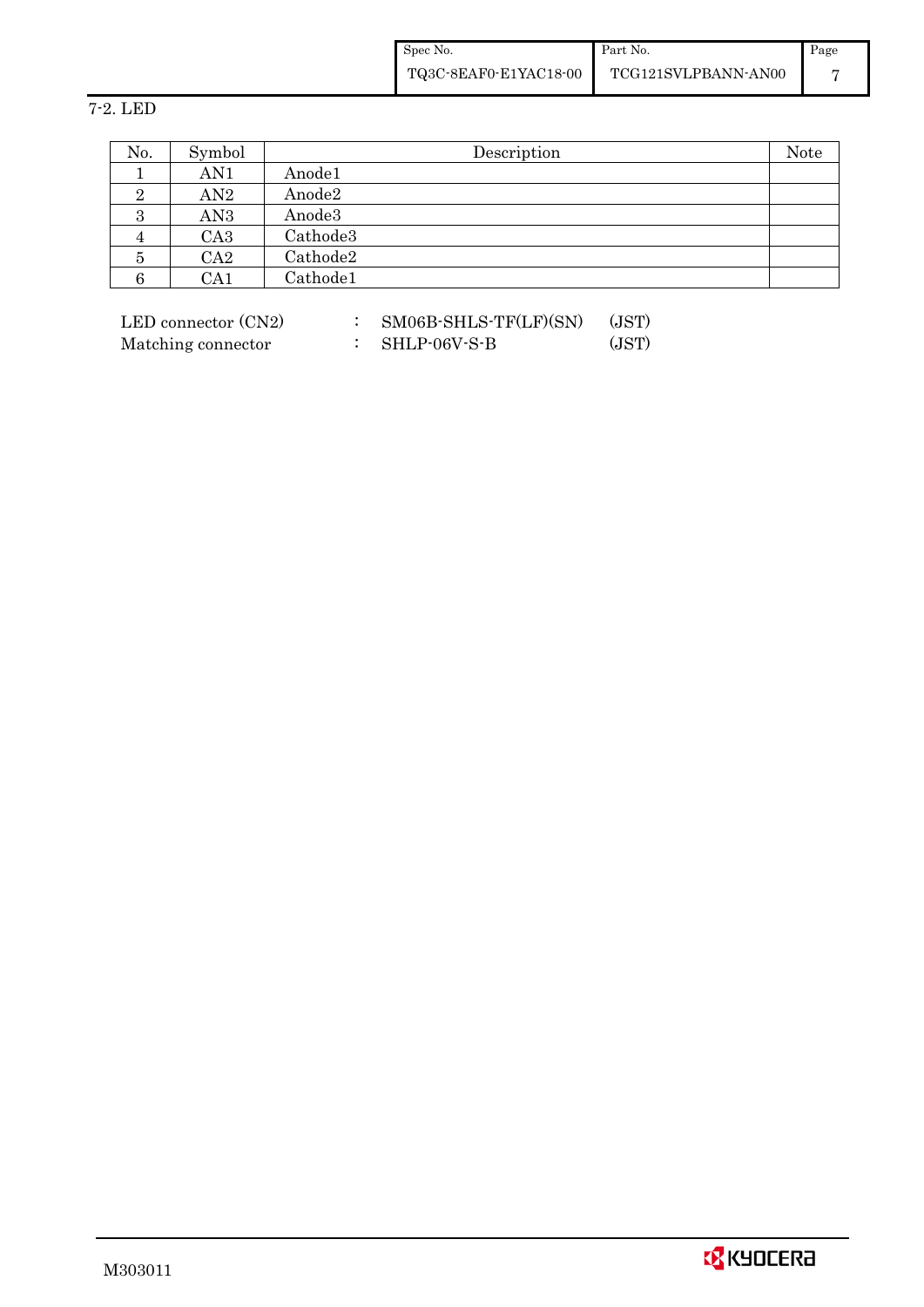Spec No. TQ3C-8EAF0-E1YAC18-00 Part No. TCG121SVLPBANN-AN00 Page 7

### 7-2. LED

| No. | Symbol          | Description | Note |
|-----|-----------------|-------------|------|
|     | AN1             | Anode1      |      |
| ິ   | AN2             | Anode2      |      |
| ಲ   | AN3             | Anode3      |      |
|     | CA <sub>3</sub> | Cathode3    |      |
| 5   | CA <sub>2</sub> | Cathode2    |      |
| O   | CA1             | Cathode1    |      |

 $\begin{tabular}{ll} \bf LED~connector~(CN2) & \qquad : & \bf SM06B-SHLS-TF(LF)(SN) & (JST) \end{tabular}$ Matching connector : SHLP-06V-S-B (JST)

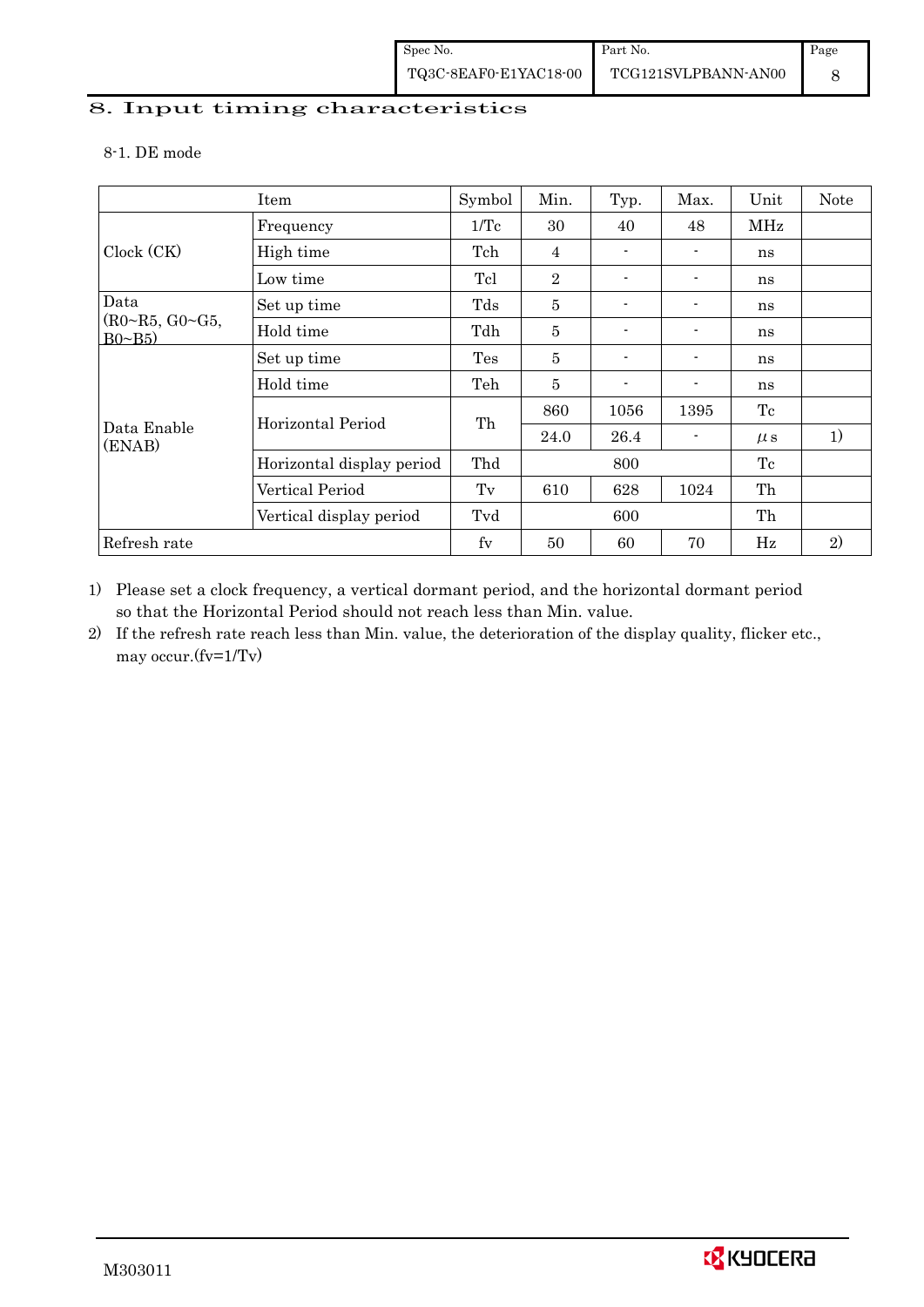# 8. Input timing characteristics  $\overline{\phantom{a}}$

#### 8-1. DE mode

|                                | Item                      | Symbol | Min.           | Typ.                     | Max.           | Unit    | Note |
|--------------------------------|---------------------------|--------|----------------|--------------------------|----------------|---------|------|
|                                | Frequency                 | 1/Tc   | 30             | 40                       | 48             | MHz     |      |
| Clock (CK)                     | High time                 | Tch    | 4              |                          | $\blacksquare$ | ns      |      |
|                                | Low time                  | Tcl    | $\overline{2}$ | $\overline{a}$           | $\blacksquare$ | ns      |      |
| Data                           | Set up time               | Tds    | $\overline{5}$ |                          |                | ns      |      |
| (R0~R5, G0~G5,<br>$B0 \sim B5$ | Hold time                 | Tdh    | 5              | $\blacksquare$           | $\blacksquare$ | ns      |      |
|                                | Set up time               | Tes    | 5              | $\overline{\phantom{0}}$ |                | ns      |      |
|                                | Hold time                 | Teh    | $\overline{5}$ |                          |                | ns      |      |
|                                | Horizontal Period         | Th     | 860            | 1056                     | 1395           | Tc      |      |
| Data Enable<br>(ENAB)          |                           |        | 24.0           | 26.4                     |                | $\mu$ s | 1)   |
|                                | Horizontal display period | Thd    |                | 800                      |                | Tc      |      |
|                                | Vertical Period           | Tv     | 610            | 628                      | 1024           | Th      |      |
|                                | Vertical display period   | Tvd    |                | 600                      |                | Th      |      |
| Refresh rate                   |                           | $f_V$  | 50             | 60                       | 70             | Hz      | 2)   |

1) Please set a clock frequency, a vertical dormant period, and the horizontal dormant period so that the Horizontal Period should not reach less than Min. value.

2) If the refresh rate reach less than Min. value, the deterioration of the display quality, flicker etc., may occur.(fv=1/Tv)

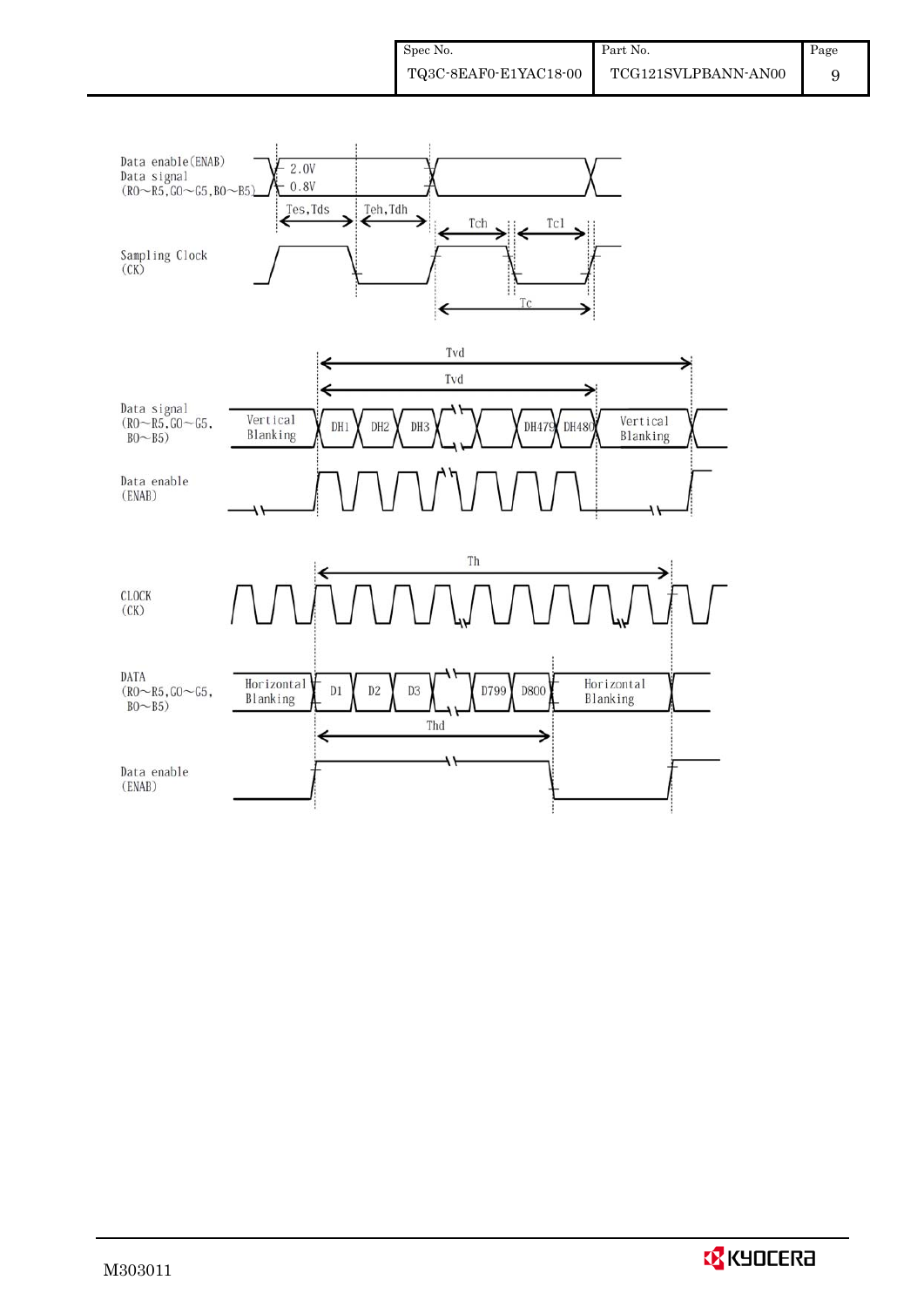

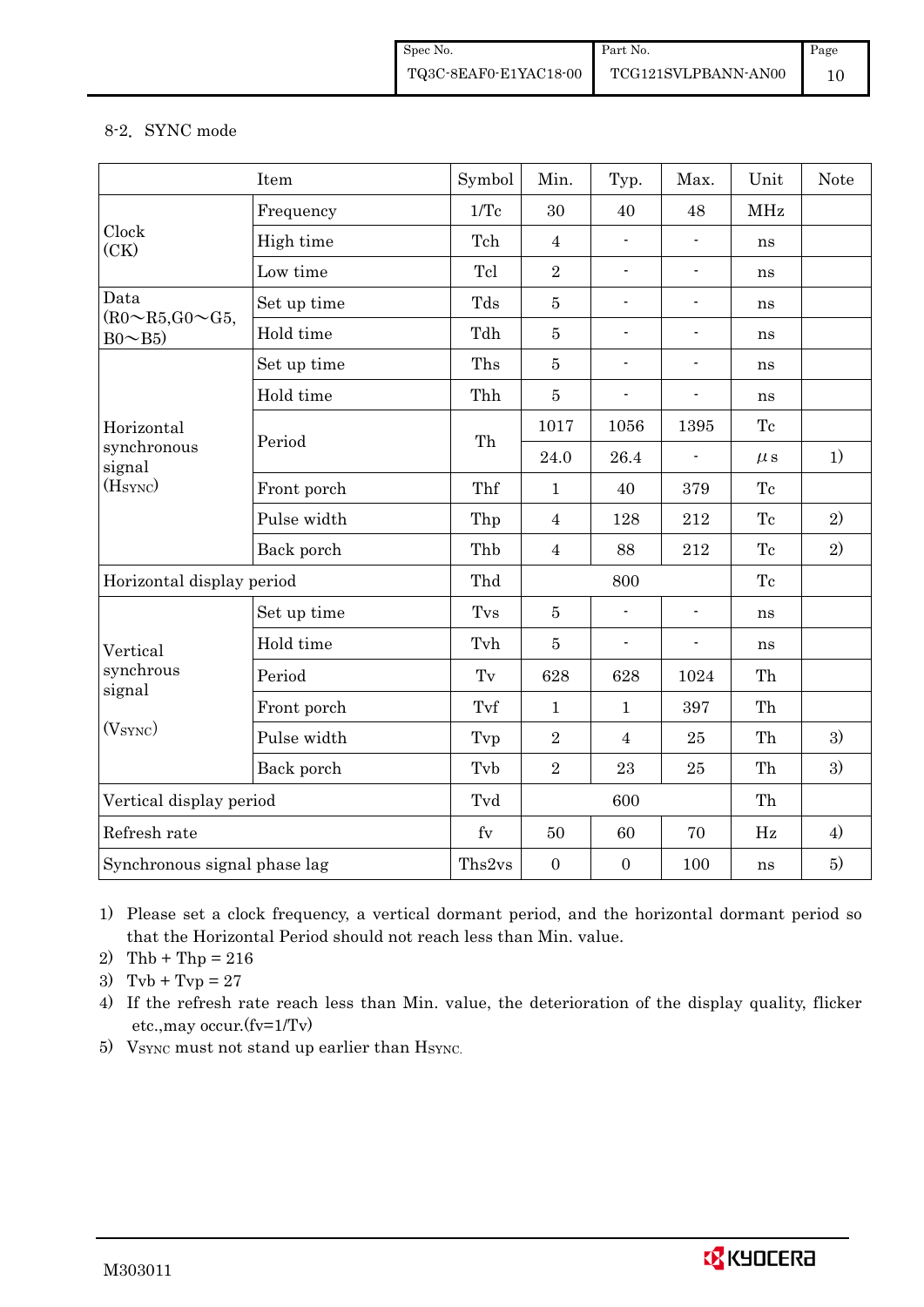#### 8-2.SYNC mode

|                                              | Item        | Symbol         | Min.             | Typ.                     | Max.                         | Unit       | <b>Note</b> |
|----------------------------------------------|-------------|----------------|------------------|--------------------------|------------------------------|------------|-------------|
|                                              | Frequency   | 1/Tc           | 30               | 40                       | 48                           | <b>MHz</b> |             |
| Clock<br>(CK)                                | High time   | Tch            | $\overline{4}$   | $\blacksquare$           |                              | ns         |             |
|                                              | Low time    | Tcl            | $\overline{2}$   | $\blacksquare$           | $\blacksquare$               | ns         |             |
| Data<br>$(R0\sim R5,\text{G}0\sim\text{G}5,$ | Set up time | Tds            | $\bf 5$          | $\overline{\phantom{a}}$ | $\overline{\phantom{a}}$     | ns         |             |
| $Bo \sim B5$                                 | Hold time   | Tdh            | $\overline{5}$   | $\blacksquare$           | $\blacksquare$               | ns         |             |
|                                              | Set up time | Ths            | $\bf 5$          | $\blacksquare$           | $\blacksquare$               | ns         |             |
|                                              | Hold time   | Thh            | $\bf 5$          | $\blacksquare$           | $\blacksquare$               | ns         |             |
| Horizontal                                   | Period      | Th             | 1017             | 1056                     | 1395                         | Tc         |             |
| synchronous<br>signal                        |             |                | 24.0             | 26.4                     |                              | $\mu$ s    | 1)          |
| (H <sub>SYNC</sub> )                         | Front porch | Thf            | $\mathbf{1}$     | 40                       | 379                          | Tc         |             |
|                                              | Pulse width | Thp            | $\overline{4}$   | 128                      | 212                          | Tc         | 2)          |
|                                              | Back porch  | Thb            | $\overline{4}$   | 88                       | 212                          | Tc         | 2)          |
| Horizontal display period                    |             | Thd            |                  | 800                      |                              | Tc         |             |
|                                              | Set up time | Tvs            | $\overline{5}$   | ÷,                       | $\blacksquare$               | ns         |             |
| Vertical                                     | Hold time   | Tvh            | $\bf 5$          | $\blacksquare$           | $\qquad \qquad \blacksquare$ | ns         |             |
| synchrous                                    | Period      | Tv             | 628              | 628                      | 1024                         | Th         |             |
| signal                                       | Front porch | Tvf            | $\mathbf{1}$     | $\mathbf{1}$             | 397                          | Th         |             |
| (V <sub>SYNC</sub> )                         | Pulse width | Tvp            | $\overline{2}$   | $\overline{4}$           | 25                           | Th         | 3)          |
|                                              | Back porch  | Tvb            | $\overline{2}$   | 23                       | 25                           | Th         | 3)          |
| Vertical display period                      |             | Tvd            |                  | 600                      |                              | Th         |             |
| Refresh rate                                 |             | f <sub>V</sub> | 50               | 60                       | 70                           | $\rm Hz$   | 4)          |
| Synchronous signal phase lag                 |             | Ths2vs         | $\boldsymbol{0}$ | $\boldsymbol{0}$         | 100                          | ns         | 5)          |

1) Please set a clock frequency, a vertical dormant period, and the horizontal dormant period so that the Horizontal Period should not reach less than Min. value.

2) Thb + Thp =  $216$ 

3)  $Tvb + Tvp = 27$ 

4) If the refresh rate reach less than Min. value, the deterioration of the display quality, flicker etc.,may occur.(fv=1/Tv)

5) VSYNC must not stand up earlier than HSYNC.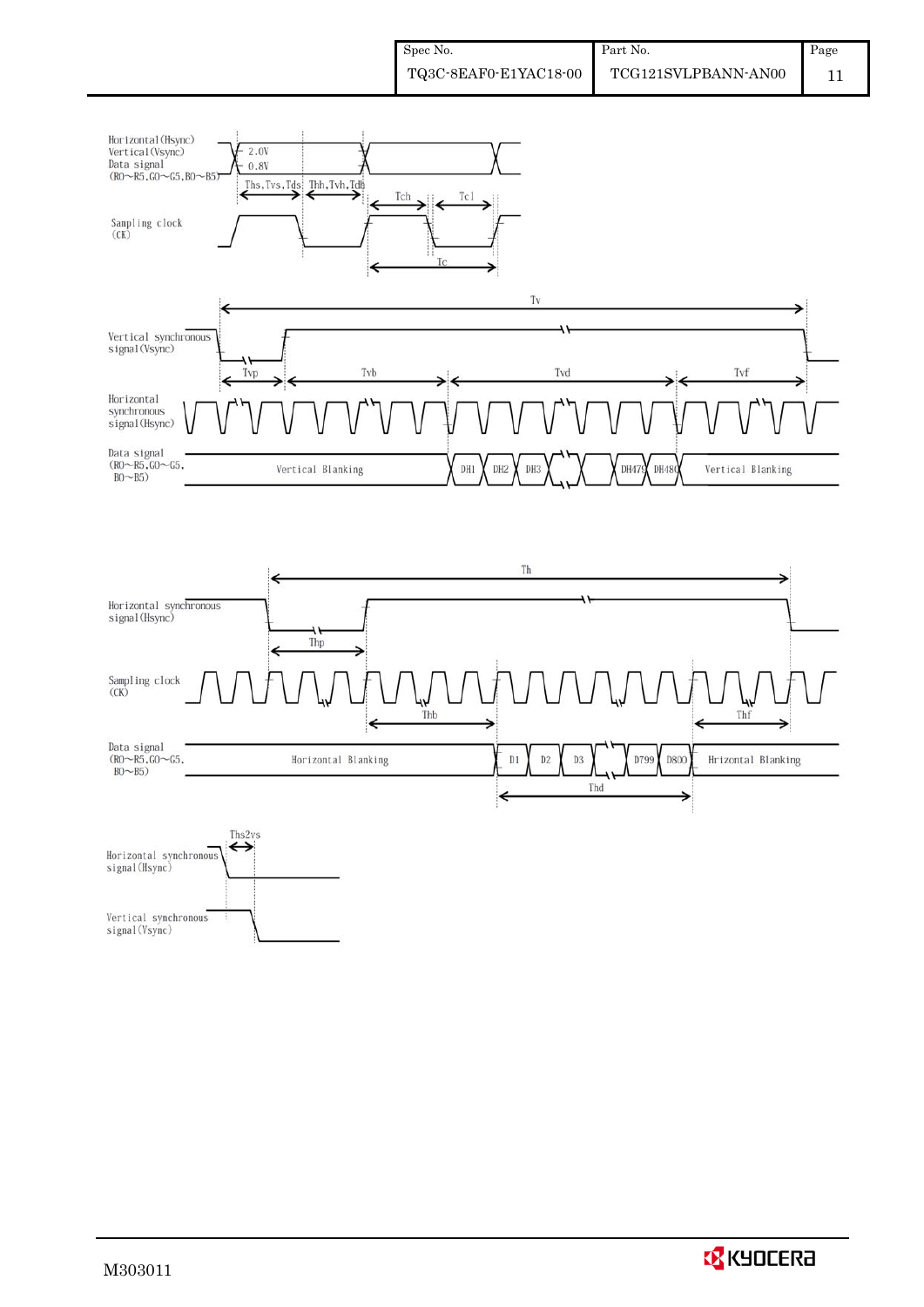



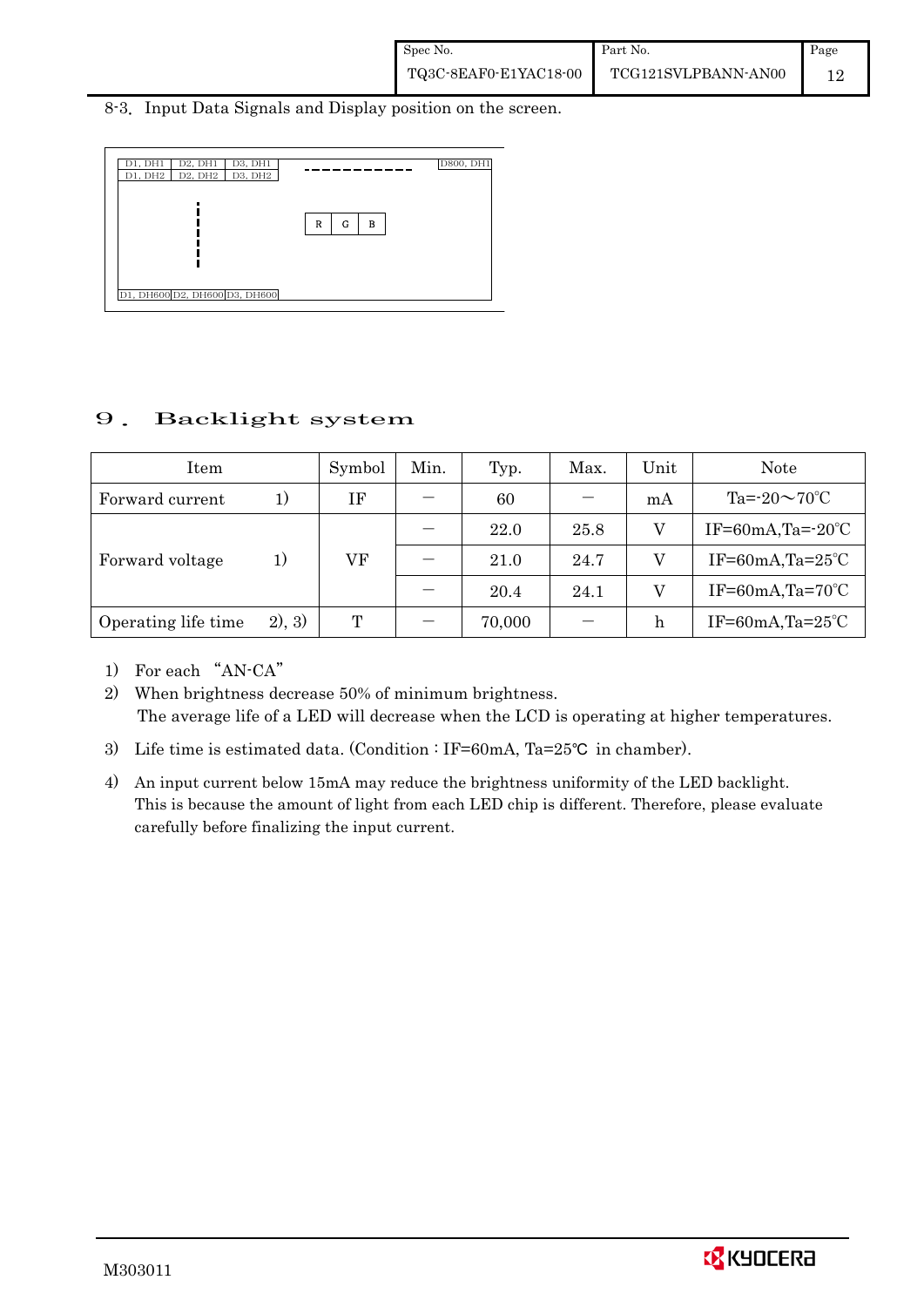#### 8-3. Input Data Signals and Display position on the screen.



# 9.Backlight system

| Item                |        | Symbol | Min. | Typ.   | Max. | Unit | Note                        |
|---------------------|--------|--------|------|--------|------|------|-----------------------------|
| Forward current     | 1)     | ΙF     |      | 60     |      | mA   | Ta= $-20 \sim 70$ °C        |
|                     |        |        |      | 22.0   | 25.8 |      | IF=60mA,Ta= $-20^{\circ}$ C |
| Forward voltage     | 1)     | VF     |      | 21.0   | 24.7 |      | IF=60mA,Ta= $25^{\circ}$ C  |
|                     |        |        |      | 20.4   | 24.1 |      | IF=60mA,Ta= $70^{\circ}$ C  |
| Operating life time | 2), 3) | T      |      | 70,000 |      |      | IF=60mA,Ta= $25^{\circ}$ C  |

1) For each "AN-CA"

2) When brightness decrease 50% of minimum brightness. The average life of a LED will decrease when the LCD is operating at higher temperatures.

- 3) Life time is estimated data. (Condition : IF=60mA, Ta=25°C in chamber).
- 4) An input current below 15mA may reduce the brightness uniformity of the LED backlight. This is because the amount of light from each LED chip is different. Therefore, please evaluate carefully before finalizing the input current.

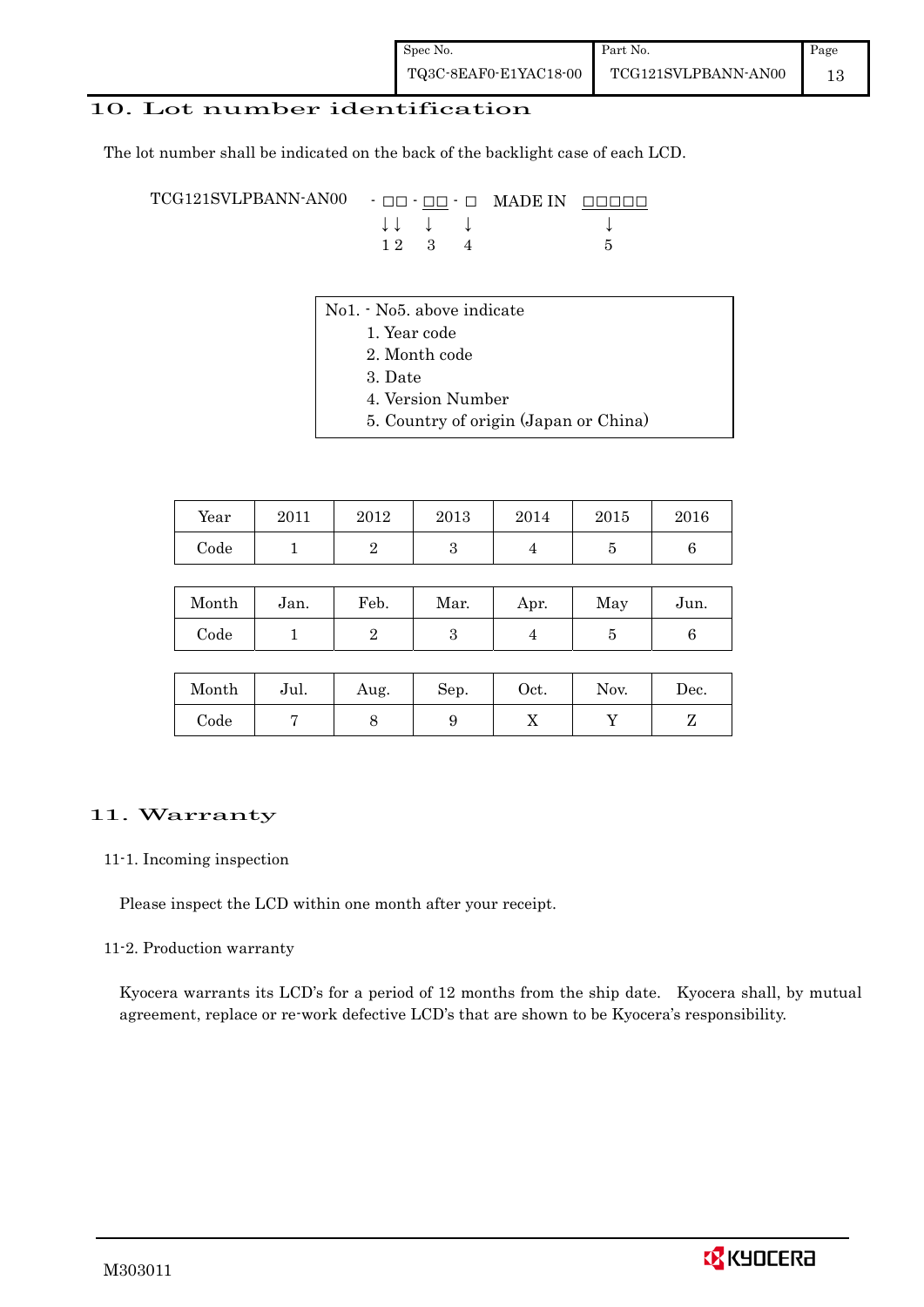### 10. Lot number identification

The lot number shall be indicated on the back of the backlight case of each LCD.

TCG121SVLPBANN-AN00 -  $\Box$  $\Box$   $\Box$   $\Box$  MADE IN  $\Box$  $\Box$  $\Box$  $\Box$  $\downarrow \downarrow \quad \downarrow \quad \downarrow \qquad \downarrow$  $1 2 3 4 5$ 

- No1. No5. above indicate
	- 1. Year code
		- 2. Month code
		- 3. Date
		- 4. Version Number
		- 5. Country of origin (Japan or China)

| Year       | 2011 | 2012 | 2013 | 2014 | 2015 | 2016 |
|------------|------|------|------|------|------|------|
| $\rm Code$ |      |      |      |      |      |      |

| Month | Jan. | Feb. | Mar. | Apr. | May | Jun. |
|-------|------|------|------|------|-----|------|
| Code  |      |      |      |      |     |      |

| Month      | Jul. | Aug. | Sep. | Oct. | Nov. | Dec. |
|------------|------|------|------|------|------|------|
| $\rm Code$ |      |      |      | ∡⊾   |      |      |

#### 11. Warranty

#### 11-1. Incoming inspection

Please inspect the LCD within one month after your receipt.

#### 11-2. Production warranty

 Kyocera warrants its LCD's for a period of 12 months from the ship date. Kyocera shall, by mutual agreement, replace or re-work defective LCD's that are shown to be Kyocera's responsibility.

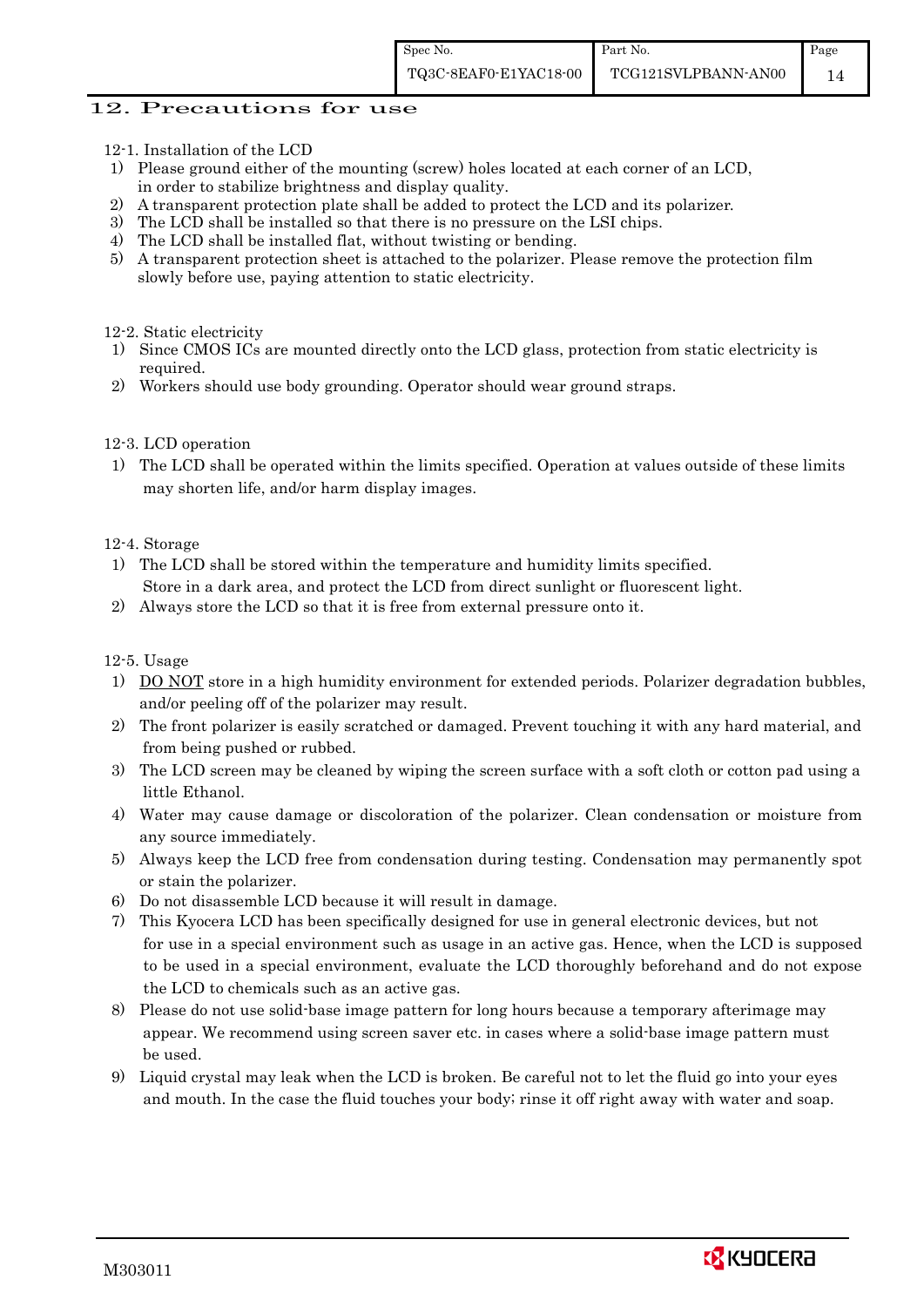#### 12. Precautions for use

- 12-1. Installation of the LCD
- 1) Please ground either of the mounting (screw) holes located at each corner of an LCD, in order to stabilize brightness and display quality.
- 2) A transparent protection plate shall be added to protect the LCD and its polarizer.
- 3) The LCD shall be installed so that there is no pressure on the LSI chips.
- 4) The LCD shall be installed flat, without twisting or bending.
- 5) A transparent protection sheet is attached to the polarizer. Please remove the protection film slowly before use, paying attention to static electricity.

12-2. Static electricity

- 1) Since CMOS ICs are mounted directly onto the LCD glass, protection from static electricity is required.
- 2) Workers should use body grounding. Operator should wear ground straps.

#### 12-3. LCD operation

1) The LCD shall be operated within the limits specified. Operation at values outside of these limits may shorten life, and/or harm display images.

12-4. Storage

- 1) The LCD shall be stored within the temperature and humidity limits specified. Store in a dark area, and protect the LCD from direct sunlight or fluorescent light.
- 2) Always store the LCD so that it is free from external pressure onto it.

12-5. Usage

- 1) DO NOT store in a high humidity environment for extended periods. Polarizer degradation bubbles, and/or peeling off of the polarizer may result.
- 2) The front polarizer is easily scratched or damaged. Prevent touching it with any hard material, and from being pushed or rubbed.
- 3) The LCD screen may be cleaned by wiping the screen surface with a soft cloth or cotton pad using a little Ethanol.
- 4) Water may cause damage or discoloration of the polarizer. Clean condensation or moisture from any source immediately.
- 5) Always keep the LCD free from condensation during testing. Condensation may permanently spot or stain the polarizer.
- 6) Do not disassemble LCD because it will result in damage.
- 7) This Kyocera LCD has been specifically designed for use in general electronic devices, but not for use in a special environment such as usage in an active gas. Hence, when the LCD is supposed to be used in a special environment, evaluate the LCD thoroughly beforehand and do not expose the LCD to chemicals such as an active gas.
- 8) Please do not use solid-base image pattern for long hours because a temporary afterimage may appear. We recommend using screen saver etc. in cases where a solid-base image pattern must be used.
- 9) Liquid crystal may leak when the LCD is broken. Be careful not to let the fluid go into your eyes and mouth. In the case the fluid touches your body; rinse it off right away with water and soap.

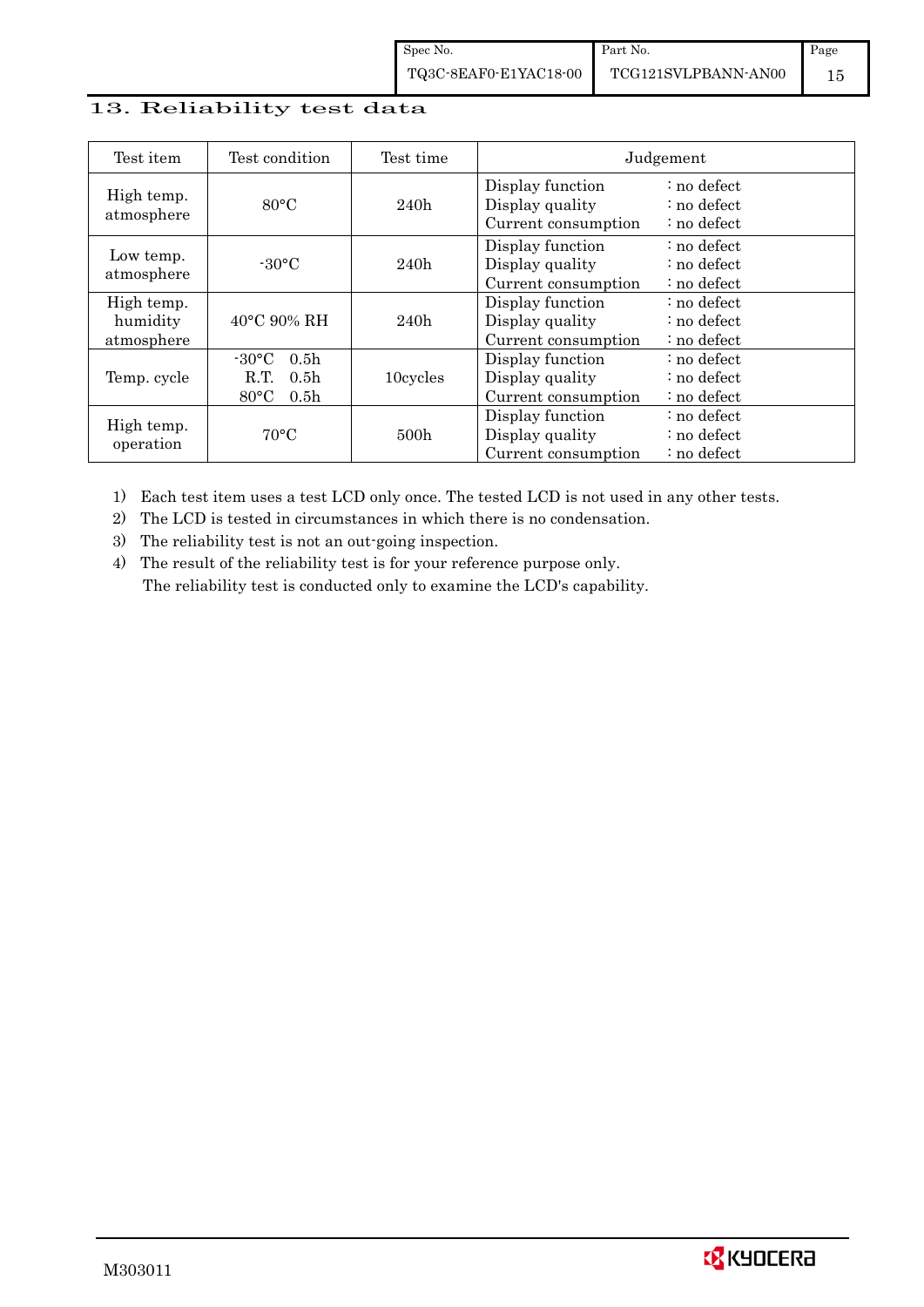# 13. Reliability test data

| Test item                            | Test condition                                                                                        | Test time |                                                            | Judgement                                 |
|--------------------------------------|-------------------------------------------------------------------------------------------------------|-----------|------------------------------------------------------------|-------------------------------------------|
| High temp.<br>atmosphere             | $80^{\circ}$ C                                                                                        | 240h      | Display function<br>Display quality<br>Current consumption | : no defect<br>: no defect<br>: no defect |
| Low temp.<br>atmosphere              | $-30^{\circ}$ C                                                                                       | 240h      | Display function<br>Display quality<br>Current consumption | : no defect<br>: no defect<br>: no defect |
| High temp.<br>humidity<br>atmosphere | $40^{\circ}$ C 90% RH                                                                                 | 240h      | Display function<br>Display quality<br>Current consumption | : no defect<br>: no defect<br>: no defect |
| Temp. cycle                          | $-30^{\circ}$ C<br>0.5 <sub>h</sub><br>0.5 <sub>h</sub><br>R.T.<br>$80^{\circ}$ C<br>0.5 <sub>h</sub> | 10cycles  | Display function<br>Display quality<br>Current consumption | : no defect<br>: no defect<br>: no defect |
| High temp.<br>operation              | $70^{\circ}$ C                                                                                        | 500h      | Display function<br>Display quality<br>Current consumption | : no defect<br>: no defect<br>: no defect |

1) Each test item uses a test LCD only once. The tested LCD is not used in any other tests.

2) The LCD is tested in circumstances in which there is no condensation.

3) The reliability test is not an out-going inspection.

4) The result of the reliability test is for your reference purpose only. The reliability test is conducted only to examine the LCD's capability.

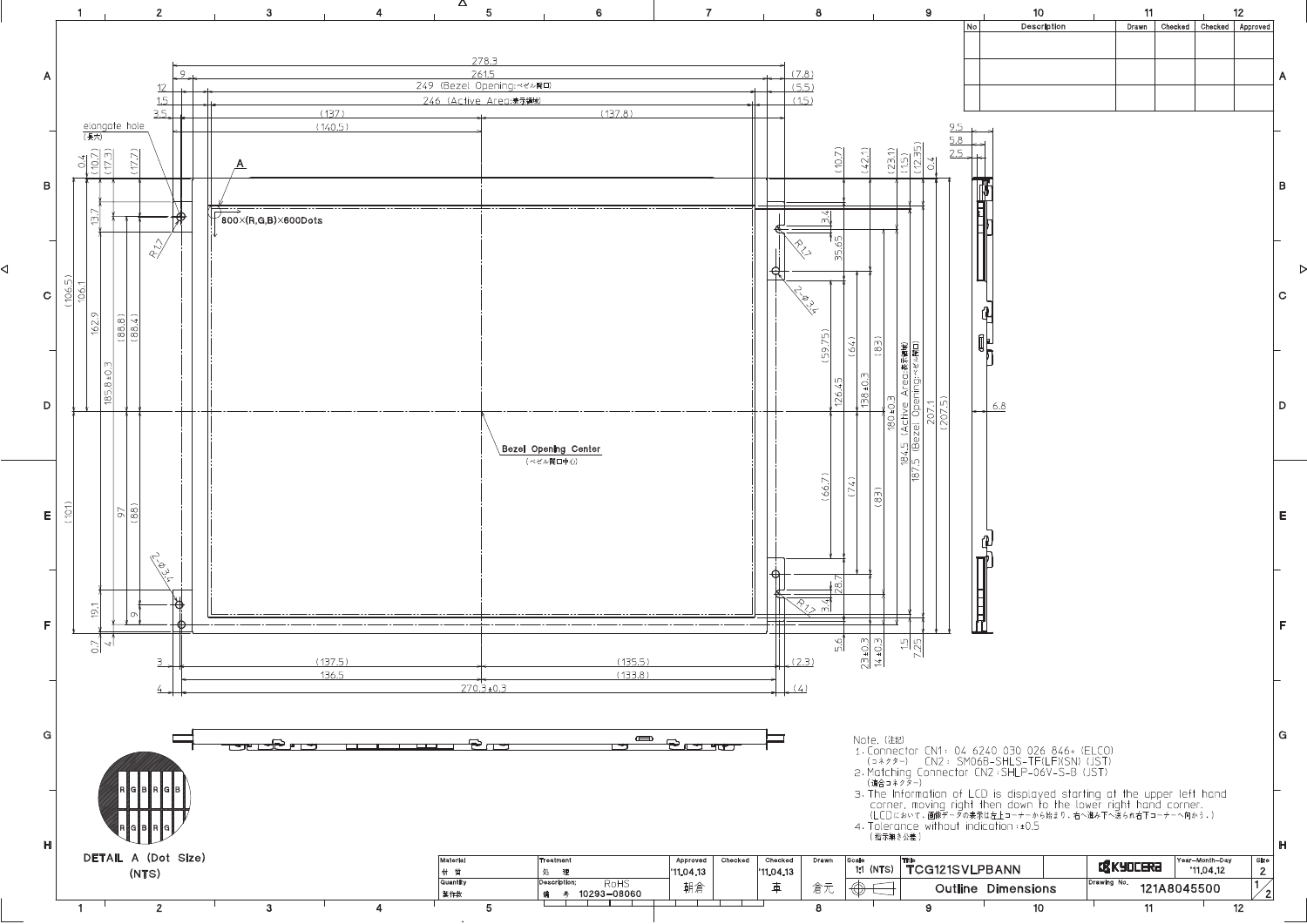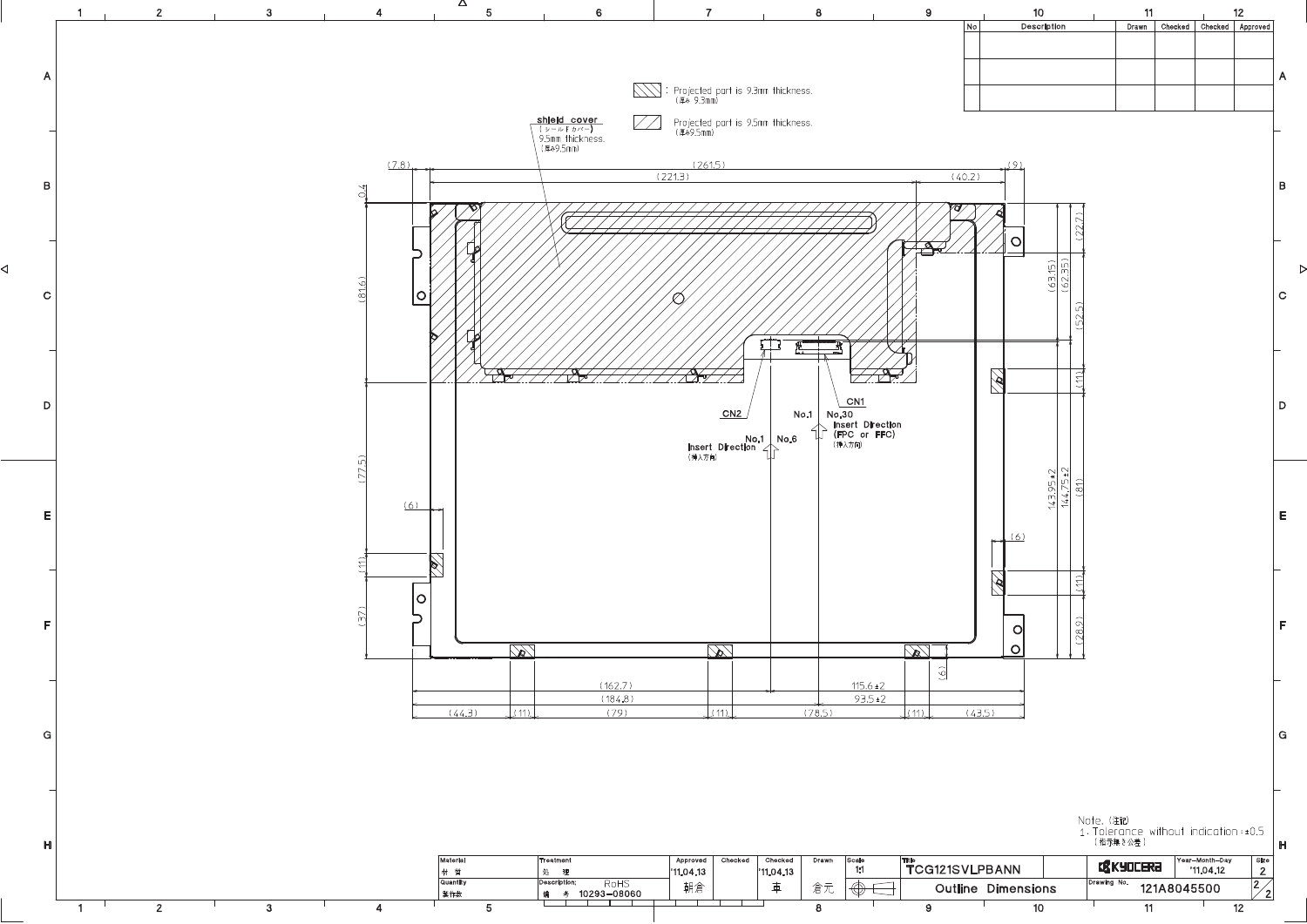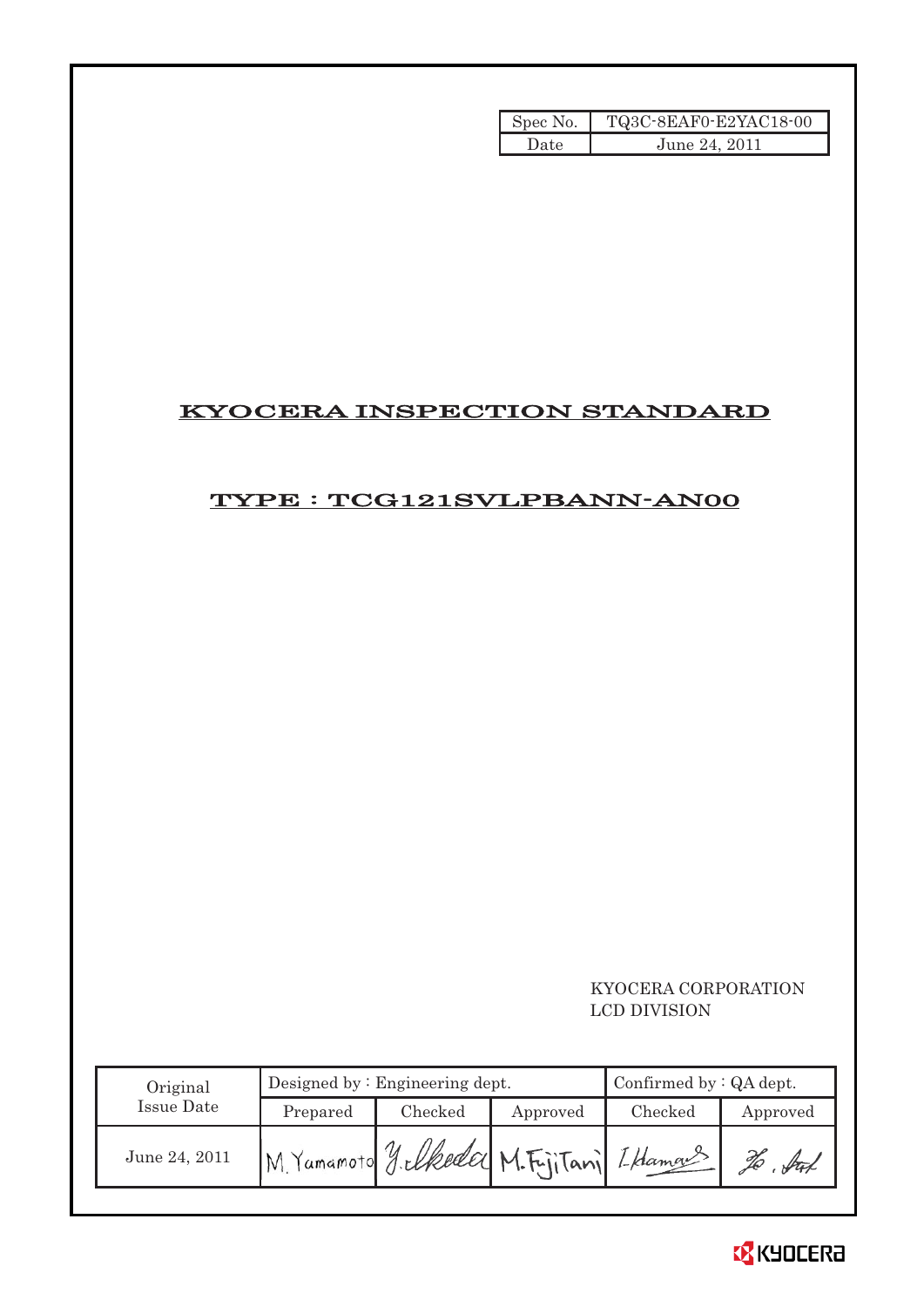| Spec No. | TQ3C-8EAF0-E2YAC18-00 |
|----------|-----------------------|
| Date     | June 24, 2011         |

# KYOCERA INSPECTION STANDARD

# TYPE : TCG121SVLPBANN-AN00

### KYOCERA CORPORATION LCD DIVISION

| Original      |                                        | Designed by: Engineering dept. | Confirmed by $:QA$ dept. |         |          |
|---------------|----------------------------------------|--------------------------------|--------------------------|---------|----------|
| Issue Date    | Prepared                               | Checked                        | Approved                 | Checked | Approved |
| June 24, 2011 | M Yamamoto yelkeda M.FijiTanj Iklama 3 |                                |                          |         |          |

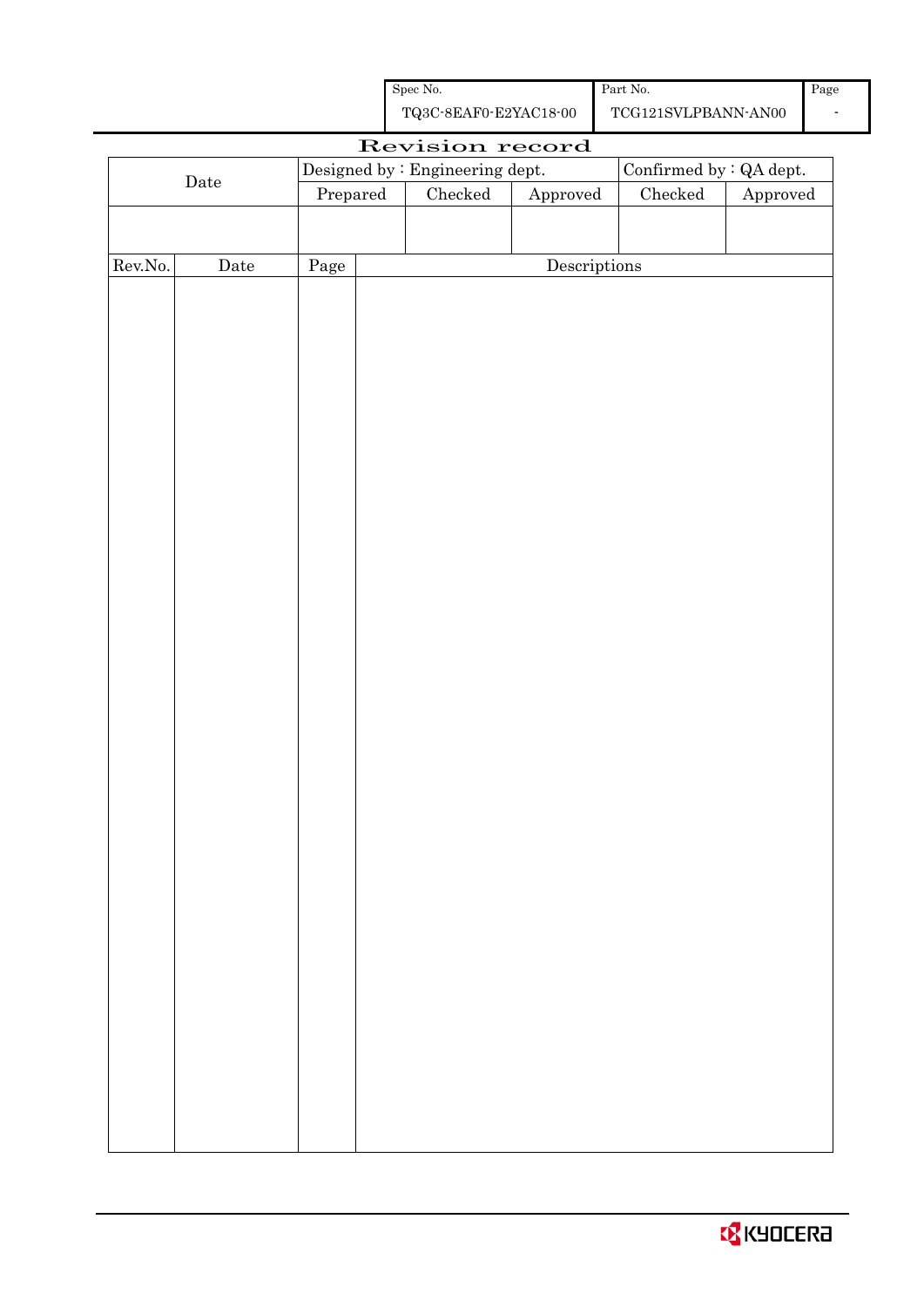| Spec No.              | Part No.  |
|-----------------------|-----------|
| TQ3C-8EAF0-E2YAC18-00 | TCG121SVL |

| Revision record |             |          |                                 |               |                         |               |                        |
|-----------------|-------------|----------|---------------------------------|---------------|-------------------------|---------------|------------------------|
|                 |             |          | Designed by : Engineering dept. |               | Confirmed by : QA dept. |               |                        |
|                 | $\rm{Date}$ | Prepared |                                 | $\rm Checked$ | Approved                | $\rm Checked$ | ${\Large\bf Approved}$ |
|                 |             |          |                                 |               |                         |               |                        |
|                 |             |          |                                 |               |                         |               |                        |
| Rev.No.         | Date        | Page     |                                 |               | Descriptions            |               |                        |
|                 |             |          |                                 |               |                         |               |                        |
|                 |             |          |                                 |               |                         |               |                        |
|                 |             |          |                                 |               |                         |               |                        |
|                 |             |          |                                 |               |                         |               |                        |
|                 |             |          |                                 |               |                         |               |                        |
|                 |             |          |                                 |               |                         |               |                        |
|                 |             |          |                                 |               |                         |               |                        |
|                 |             |          |                                 |               |                         |               |                        |
|                 |             |          |                                 |               |                         |               |                        |
|                 |             |          |                                 |               |                         |               |                        |
|                 |             |          |                                 |               |                         |               |                        |
|                 |             |          |                                 |               |                         |               |                        |
|                 |             |          |                                 |               |                         |               |                        |
|                 |             |          |                                 |               |                         |               |                        |
|                 |             |          |                                 |               |                         |               |                        |
|                 |             |          |                                 |               |                         |               |                        |
|                 |             |          |                                 |               |                         |               |                        |
|                 |             |          |                                 |               |                         |               |                        |
|                 |             |          |                                 |               |                         |               |                        |
|                 |             |          |                                 |               |                         |               |                        |
|                 |             |          |                                 |               |                         |               |                        |
|                 |             |          |                                 |               |                         |               |                        |
|                 |             |          |                                 |               |                         |               |                        |
|                 |             |          |                                 |               |                         |               |                        |
|                 |             |          |                                 |               |                         |               |                        |
|                 |             |          |                                 |               |                         |               |                        |
|                 |             |          |                                 |               |                         |               |                        |
|                 |             |          |                                 |               |                         |               |                        |
|                 |             |          |                                 |               |                         |               |                        |
|                 |             |          |                                 |               |                         |               |                        |
|                 |             |          |                                 |               |                         |               |                        |
|                 |             |          |                                 |               |                         |               |                        |
|                 |             |          |                                 |               |                         |               |                        |
|                 |             |          |                                 |               |                         |               |                        |
|                 |             |          |                                 |               |                         |               |                        |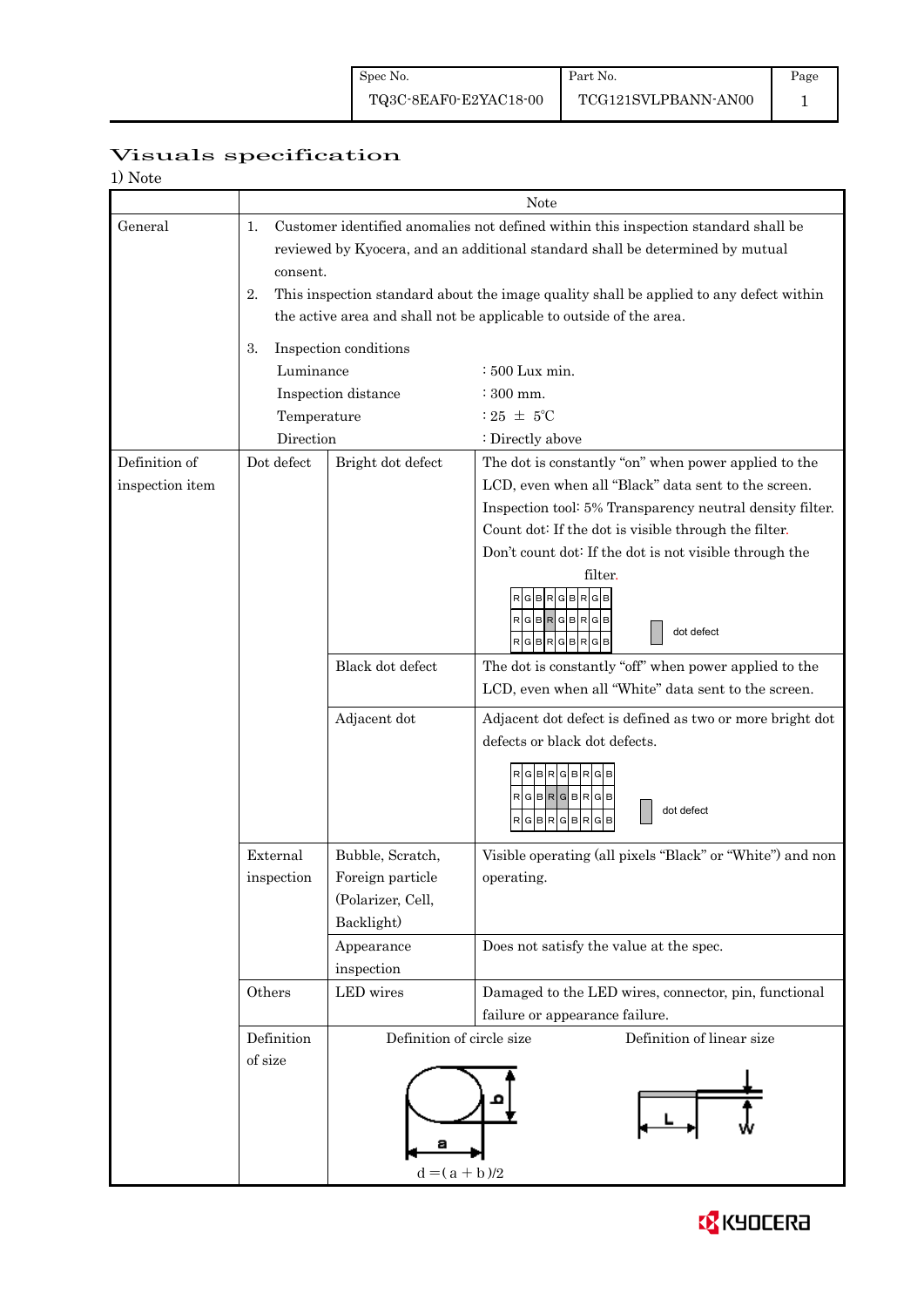# Visuals specification

| 1) Note |  |
|---------|--|
|---------|--|

|                 |                                                                               | Note                                                                                   |                                                           |  |  |  |  |
|-----------------|-------------------------------------------------------------------------------|----------------------------------------------------------------------------------------|-----------------------------------------------------------|--|--|--|--|
| General         | 1.                                                                            | Customer identified anomalies not defined within this inspection standard shall be     |                                                           |  |  |  |  |
|                 | reviewed by Kyocera, and an additional standard shall be determined by mutual |                                                                                        |                                                           |  |  |  |  |
|                 |                                                                               | consent.                                                                               |                                                           |  |  |  |  |
|                 | 2.                                                                            | This inspection standard about the image quality shall be applied to any defect within |                                                           |  |  |  |  |
|                 |                                                                               | the active area and shall not be applicable to outside of the area.                    |                                                           |  |  |  |  |
|                 |                                                                               |                                                                                        |                                                           |  |  |  |  |
|                 | 3.                                                                            | Inspection conditions                                                                  |                                                           |  |  |  |  |
|                 | Luminance                                                                     | $\div 500$ Lux min.                                                                    |                                                           |  |  |  |  |
|                 |                                                                               | Inspection distance<br>: 300 mm.                                                       |                                                           |  |  |  |  |
|                 | Temperature                                                                   | : 25 $\pm$ 5°C                                                                         |                                                           |  |  |  |  |
|                 | Direction                                                                     |                                                                                        | : Directly above                                          |  |  |  |  |
| Definition of   | Dot defect                                                                    | Bright dot defect                                                                      | The dot is constantly "on" when power applied to the      |  |  |  |  |
| inspection item |                                                                               |                                                                                        | LCD, even when all "Black" data sent to the screen.       |  |  |  |  |
|                 |                                                                               |                                                                                        | Inspection tool: 5% Transparency neutral density filter.  |  |  |  |  |
|                 |                                                                               |                                                                                        | Count dot: If the dot is visible through the filter.      |  |  |  |  |
|                 |                                                                               |                                                                                        | Don't count dot: If the dot is not visible through the    |  |  |  |  |
|                 |                                                                               |                                                                                        | filter.                                                   |  |  |  |  |
|                 |                                                                               |                                                                                        | R                                                         |  |  |  |  |
|                 |                                                                               |                                                                                        | RGBRGBRGB                                                 |  |  |  |  |
|                 |                                                                               |                                                                                        | dot defect<br>$R$ G $B$ R $G$ B $R$ G $B$                 |  |  |  |  |
|                 |                                                                               | Black dot defect                                                                       | The dot is constantly "off" when power applied to the     |  |  |  |  |
|                 |                                                                               |                                                                                        | LCD, even when all "White" data sent to the screen.       |  |  |  |  |
|                 |                                                                               | Adjacent dot                                                                           | Adjacent dot defect is defined as two or more bright dot  |  |  |  |  |
|                 |                                                                               |                                                                                        | defects or black dot defects.                             |  |  |  |  |
|                 |                                                                               |                                                                                        |                                                           |  |  |  |  |
|                 |                                                                               |                                                                                        | RGBRGBRGB                                                 |  |  |  |  |
|                 |                                                                               |                                                                                        | $R$  G $ B R$  G $ B R$  G $ B $<br>dot defect            |  |  |  |  |
|                 |                                                                               |                                                                                        | RGBRGBRG<br>в                                             |  |  |  |  |
|                 | External                                                                      | Bubble, Scratch,                                                                       | Visible operating (all pixels "Black" or "White") and non |  |  |  |  |
|                 | inspection                                                                    | Foreign particle                                                                       | operating.                                                |  |  |  |  |
|                 |                                                                               | (Polarizer, Cell,                                                                      |                                                           |  |  |  |  |
|                 |                                                                               | Backlight)                                                                             |                                                           |  |  |  |  |
|                 |                                                                               | Appearance                                                                             | Does not satisfy the value at the spec.                   |  |  |  |  |
|                 |                                                                               | inspection                                                                             |                                                           |  |  |  |  |
|                 | Others                                                                        | LED wires                                                                              | Damaged to the LED wires, connector, pin, functional      |  |  |  |  |
|                 |                                                                               |                                                                                        | failure or appearance failure.                            |  |  |  |  |
|                 | Definition                                                                    | Definition of circle size                                                              | Definition of linear size                                 |  |  |  |  |
|                 | of size                                                                       |                                                                                        |                                                           |  |  |  |  |
|                 |                                                                               |                                                                                        |                                                           |  |  |  |  |
|                 |                                                                               |                                                                                        |                                                           |  |  |  |  |
|                 |                                                                               |                                                                                        |                                                           |  |  |  |  |
|                 |                                                                               |                                                                                        |                                                           |  |  |  |  |
|                 |                                                                               | $d = (a + b)/2$                                                                        |                                                           |  |  |  |  |